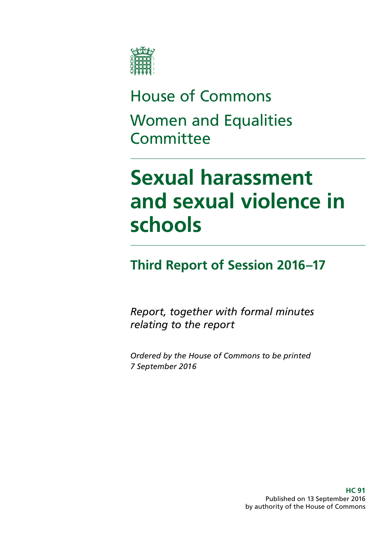

## House of Commons Women and Equalities **Committee**

# **Sexual harassment and sexual violence in schools**

### **Third Report of Session 2016–17**

*Report, together with formal minutes relating to the report* 

*Ordered by the House of Commons to be printed 7 September 2016* 

> **HC 91**  Published on 13 September 2016 by authority of the House of Commons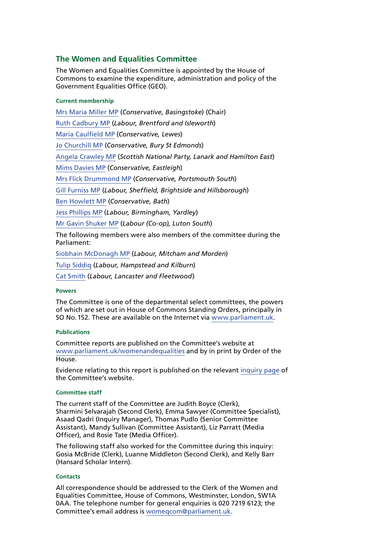#### **The Women and Equalities Committee**

The Women and Equalities Committee is appointed by the House of Commons to examine the expenditure, administration and policy of the Government Equalities Office (GEO).

#### **Current membership**

[Mrs Maria Miller MP](http://www.parliament.uk/biographies/commons/mrs-maria-miller/1480) (*Conservative, Basingstoke*) (Chair) [Ruth Cadbury MP](http://www.parliament.uk/biographies/commons/ruth-cadbury/4389) (*Labour, Brentford and Isleworth*) [Maria Caulfield MP](http://www.parliament.uk/biographies/commons/maria-caulfield/4492) (*Conservative, Lewes*) [Jo Churchill MP](http://www.parliament.uk/biographies/commons/jo-churchill/4380) (*Conservative, Bury St Edmonds*) [Angela Crawley MP](http://www.parliament.uk/biographies/commons/angela-crawley/4469) (*Scottish National Party, Lanark and Hamilton East*) [Mims Davies MP](http://www.parliament.uk/biographies/commons/mims-davies/4513) (*Conservative, Eastleigh*) [Mrs Flick Drummond MP](http://www.parliament.uk/biographies/commons/mrs-flick-drummond/4459) (*Conservative, Portsmouth South*) [Gill Furniss MP](http://www.parliament.uk/biographies/commons/gill-furniss/4571) (*Labour, Sheffield, Brightside and Hillsborough*) [Ben Howlett MP](http://www.parliament.uk/biographies/commons/ben-howlett/4445) (*Conservative, Bath*) [Jess Phillips MP](http://www.parliament.uk/biographies/commons/jess-phillips/4370) (*Labour, Birmingham, Yardley*) [Mr Gavin Shuker MP](http://www.parliament.uk/biographies/commons/mr-gavin-shuker/4013) (*Labour (Co-op), Luton South*) The following members were also members of the committee during the Parliament: [Siobhain McDonagh MP](http://www.parliament.uk/biographies/commons/siobhain-mcdonagh/193) (*Labour, Mitcham and Morden*)

[Tulip Siddiq](http://www.parliament.uk/biographies/commons/tulip-siddiq/4518) (*Labour, Hampstead and Kilburn*)

[Cat Smith](http://www.parliament.uk/biographies/commons/cat-smith/4436) (*Labour, Lancaster and Fleetwood*)

#### **Powers**

The Committee is one of the departmental select committees, the powers of which are set out in House of Commons Standing Orders, principally in SO No.152. These are available on the Internet via [www.parliament.uk](http://www.parliament.uk/).

#### **Publications**

Committee reports are published on the Committee's website at [www.parliament.uk/womenandequalities](http://www.parliament.uk/womenandequalities) and by in print by Order of the House.

Evidence relating to this report is published on the [relevant inquiry page](http://www.parliament.uk/business/committees/committees-a-z/commons-select/women-and-equalities-committee/inquiries/parliament-2015/inquiry1/publications/) of the Committee's website.

#### **Committee staff**

The current staff of the Committee are Judith Boyce (Clerk), Sharmini Selvarajah (Second Clerk), Emma Sawyer (Committee Specialist), Asaad Qadri (Inquiry Manager), Thomas Pudlo (Senior Committee Assistant), Mandy Sullivan (Committee Assistant), Liz Parratt (Media Officer), and Rosie Tate (Media Officer).

The following staff also worked for the Committee during this inquiry: Gosia McBride (Clerk), Luanne Middleton (Second Clerk), and Kelly Barr (Hansard Scholar Intern).

#### **Contacts**

All correspondence should be addressed to the Clerk of the Women and Equalities Committee, House of Commons, Westminster, London, SW1A 0AA. The telephone number for general enquiries is 020 7219 6123; the Committee's email address is [womeqcom@parliament.uk](mailto:womeqcom@parliament.uk).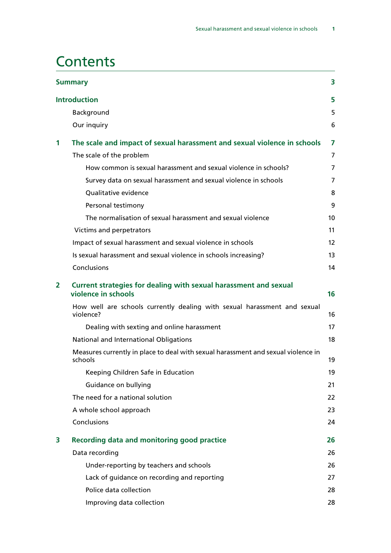### **Contents**

| 3<br><b>Summary</b> |                                                                                              |                 |  |  |
|---------------------|----------------------------------------------------------------------------------------------|-----------------|--|--|
|                     | <b>Introduction</b>                                                                          | 5               |  |  |
|                     | Background                                                                                   | 5               |  |  |
|                     | Our inquiry                                                                                  | 6               |  |  |
| 1                   | The scale and impact of sexual harassment and sexual violence in schools                     | 7               |  |  |
|                     | The scale of the problem                                                                     | 7               |  |  |
|                     | How common is sexual harassment and sexual violence in schools?                              | $\overline{7}$  |  |  |
|                     | Survey data on sexual harassment and sexual violence in schools                              | $\overline{7}$  |  |  |
|                     | Qualitative evidence                                                                         | 8               |  |  |
|                     | Personal testimony                                                                           | 9               |  |  |
|                     | The normalisation of sexual harassment and sexual violence                                   | 10 <sup>°</sup> |  |  |
|                     | Victims and perpetrators                                                                     | 11              |  |  |
|                     | Impact of sexual harassment and sexual violence in schools                                   | 12              |  |  |
|                     | Is sexual harassment and sexual violence in schools increasing?                              | 13              |  |  |
|                     | Conclusions                                                                                  | 14              |  |  |
| $\overline{2}$      | Current strategies for dealing with sexual harassment and sexual<br>violence in schools      | 16              |  |  |
|                     | How well are schools currently dealing with sexual harassment and sexual<br>violence?        | 16              |  |  |
|                     | Dealing with sexting and online harassment                                                   | 17              |  |  |
|                     | National and International Obligations                                                       | 18              |  |  |
|                     | Measures currently in place to deal with sexual harassment and sexual violence in<br>schools | 19              |  |  |
|                     | Keeping Children Safe in Education                                                           | 19              |  |  |
|                     | Guidance on bullying                                                                         | 21              |  |  |
|                     | The need for a national solution                                                             | 22              |  |  |
|                     | A whole school approach                                                                      | 23              |  |  |
|                     | Conclusions                                                                                  | 24              |  |  |
| 3                   | <b>Recording data and monitoring good practice</b>                                           | 26              |  |  |
|                     | Data recording                                                                               | 26              |  |  |
|                     | Under-reporting by teachers and schools                                                      | 26              |  |  |
|                     | Lack of guidance on recording and reporting                                                  | 27              |  |  |
|                     | Police data collection                                                                       | 28              |  |  |
|                     | Improving data collection                                                                    | 28              |  |  |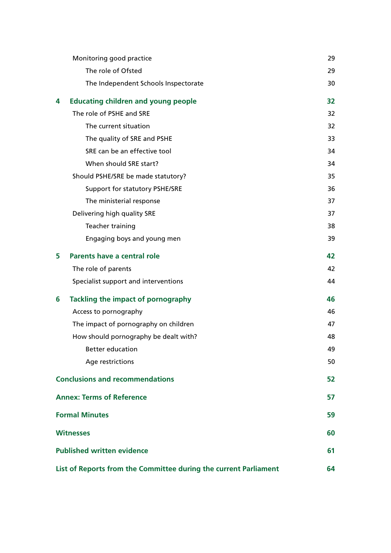|                                                                  | Monitoring good practice                   | 29 |
|------------------------------------------------------------------|--------------------------------------------|----|
|                                                                  | The role of Ofsted                         | 29 |
|                                                                  | The Independent Schools Inspectorate       | 30 |
| 4                                                                | <b>Educating children and young people</b> | 32 |
|                                                                  | The role of PSHE and SRE                   | 32 |
|                                                                  | The current situation                      | 32 |
|                                                                  | The quality of SRE and PSHE                | 33 |
|                                                                  | SRE can be an effective tool               | 34 |
|                                                                  | When should SRE start?                     | 34 |
|                                                                  | Should PSHE/SRE be made statutory?         | 35 |
|                                                                  | Support for statutory PSHE/SRE             | 36 |
|                                                                  | The ministerial response                   | 37 |
|                                                                  | Delivering high quality SRE                | 37 |
|                                                                  | Teacher training                           | 38 |
|                                                                  | Engaging boys and young men                | 39 |
| 5                                                                | Parents have a central role                | 42 |
|                                                                  | The role of parents                        | 42 |
|                                                                  | Specialist support and interventions       | 44 |
| 6                                                                | <b>Tackling the impact of pornography</b>  | 46 |
|                                                                  | Access to pornography                      | 46 |
|                                                                  | The impact of pornography on children      | 47 |
|                                                                  | How should pornography be dealt with?      | 48 |
|                                                                  | <b>Better education</b>                    | 49 |
|                                                                  | Age restrictions                           | 50 |
| <b>Conclusions and recommendations</b>                           |                                            | 52 |
|                                                                  | <b>Annex: Terms of Reference</b>           | 57 |
| <b>Formal Minutes</b>                                            |                                            | 59 |
| <b>Witnesses</b>                                                 |                                            |    |
| <b>Published written evidence</b>                                |                                            |    |
| List of Reports from the Committee during the current Parliament |                                            |    |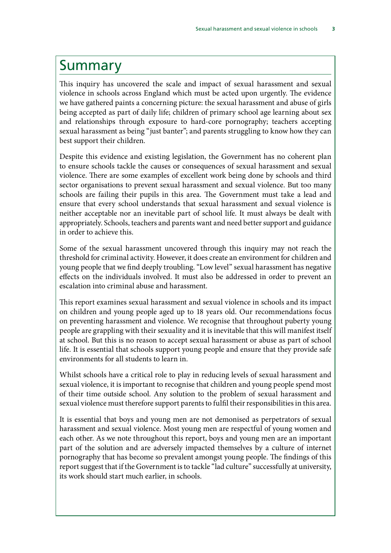### <span id="page-4-0"></span>Summary

This inquiry has uncovered the scale and impact of sexual harassment and sexual violence in schools across England which must be acted upon urgently. The evidence we have gathered paints a concerning picture: the sexual harassment and abuse of girls being accepted as part of daily life; children of primary school age learning about sex and relationships through exposure to hard-core pornography; teachers accepting sexual harassment as being "just banter"; and parents struggling to know how they can best support their children.

Despite this evidence and existing legislation, the Government has no coherent plan to ensure schools tackle the causes or consequences of sexual harassment and sexual violence. There are some examples of excellent work being done by schools and third sector organisations to prevent sexual harassment and sexual violence. But too many schools are failing their pupils in this area. The Government must take a lead and ensure that every school understands that sexual harassment and sexual violence is neither acceptable nor an inevitable part of school life. It must always be dealt with appropriately. Schools, teachers and parents want and need better support and guidance in order to achieve this.

Some of the sexual harassment uncovered through this inquiry may not reach the threshold for criminal activity. However, it does create an environment for children and young people that we find deeply troubling. "Low level" sexual harassment has negative effects on the individuals involved. It must also be addressed in order to prevent an escalation into criminal abuse and harassment.

This report examines sexual harassment and sexual violence in schools and its impact on children and young people aged up to 18 years old. Our recommendations focus on preventing harassment and violence. We recognise that throughout puberty young people are grappling with their sexuality and it is inevitable that this will manifest itself at school. But this is no reason to accept sexual harassment or abuse as part of school life. It is essential that schools support young people and ensure that they provide safe environments for all students to learn in.

Whilst schools have a critical role to play in reducing levels of sexual harassment and sexual violence, it is important to recognise that children and young people spend most of their time outside school. Any solution to the problem of sexual harassment and sexual violence must therefore support parents to fulfil their responsibilities in this area.

It is essential that boys and young men are not demonised as perpetrators of sexual harassment and sexual violence. Most young men are respectful of young women and each other. As we note throughout this report, boys and young men are an important part of the solution and are adversely impacted themselves by a culture of internet pornography that has become so prevalent amongst young people. The findings of this report suggest that if the Government is to tackle "lad culture" successfully at university, its work should start much earlier, in schools.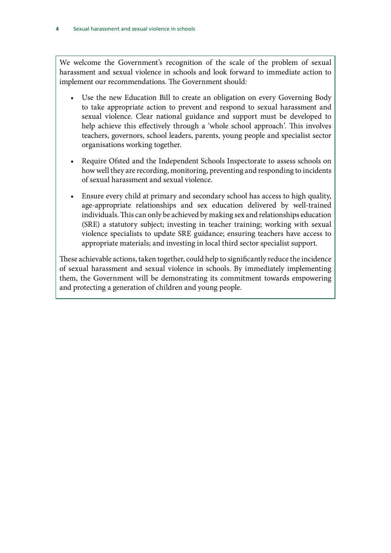We welcome the Government's recognition of the scale of the problem of sexual harassment and sexual violence in schools and look forward to immediate action to implement our recommendations. The Government should:

- Use the new Education Bill to create an obligation on every Governing Body to take appropriate action to prevent and respond to sexual harassment and sexual violence. Clear national guidance and support must be developed to help achieve this effectively through a 'whole school approach'. This involves teachers, governors, school leaders, parents, young people and specialist sector organisations working together.
- Require Ofsted and the Independent Schools Inspectorate to assess schools on how well they are recording, monitoring, preventing and responding to incidents of sexual harassment and sexual violence.
- Ensure every child at primary and secondary school has access to high quality, age-appropriate relationships and sex education delivered by well-trained individuals. This can only be achieved by making sex and relationships education (SRE) a statutory subject; investing in teacher training; working with sexual violence specialists to update SRE guidance; ensuring teachers have access to appropriate materials; and investing in local third sector specialist support.

These achievable actions, taken together, could help to significantly reduce the incidence of sexual harassment and sexual violence in schools. By immediately implementing them, the Government will be demonstrating its commitment towards empowering and protecting a generation of children and young people.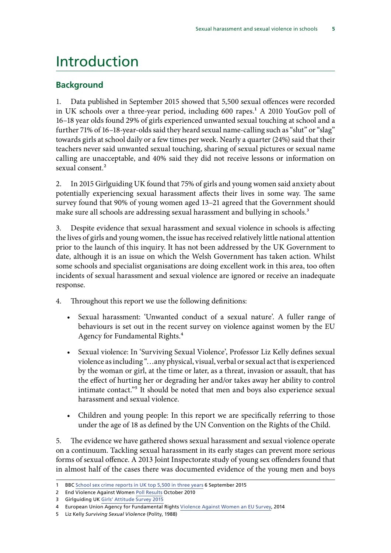### <span id="page-6-0"></span>Introduction

#### **Background**

1. Data published in September 2015 showed that 5,500 sexual offences were recorded in UK schools over a three-year period, including 600 rapes.<sup>1</sup> A 2010 YouGov poll of 16–18 year olds found 29% of girls experienced unwanted sexual touching at school and a further 71% of 16–18-year-olds said they heard sexual name-calling such as "slut" or "slag" towards girls at school daily or a few times per week. Nearly a quarter (24%) said that their teachers never said unwanted sexual touching, sharing of sexual pictures or sexual name calling are unacceptable, and 40% said they did not receive lessons or information on sexual consent.<sup>2</sup>

2. In 2015 Girlguiding UK found that 75% of girls and young women said anxiety about potentially experiencing sexual harassment affects their lives in some way. The same survey found that 90% of young women aged 13–21 agreed that the Government should make sure all schools are addressing sexual harassment and bullying in schools.<sup>3</sup>

3. Despite evidence that sexual harassment and sexual violence in schools is affecting the lives of girls and young women, the issue has received relatively little national attention prior to the launch of this inquiry. It has not been addressed by the UK Government to date, although it is an issue on which the Welsh Government has taken action. Whilst some schools and specialist organisations are doing excellent work in this area, too often incidents of sexual harassment and sexual violence are ignored or receive an inadequate response.

- 4. Throughout this report we use the following definitions:
	- • Sexual harassment: 'Unwanted conduct of a sexual nature'. A fuller range of behaviours is set out in the recent survey on violence against women by the EU Agency for Fundamental Rights.4
	- Sexual violence: In 'Surviving Sexual Violence', Professor Liz Kelly defines sexual violence as including "…any physical, visual, verbal or sexual act that is experienced by the woman or girl, at the time or later, as a threat, invasion or assault, that has the effect of hurting her or degrading her and/or takes away her ability to control intimate contact."5 It should be noted that men and boys also experience sexual harassment and sexual violence.
	- Children and young people: In this report we are specifically referring to those under the age of 18 as defined by the UN Convention on the Rights of the Child.

5. The evidence we have gathered shows sexual harassment and sexual violence operate on a continuum. Tackling sexual harassment in its early stages can prevent more serious forms of sexual offence. A 2013 Joint Inspectorate study of young sex offenders found that in almost half of the cases there was documented evidence of the young men and boys

<sup>1</sup> BBC [School sex crime reports in UK top 5,500 in three years](http://www.bbc.co.uk/news/education-34138287) 6 September 2015

<sup>2</sup> End Violence Against Women [Poll Results](http://www.endviolenceagainstwomen.org.uk/data/files/Schools_Safe_4_Girls/YouGov_poll_for_EVAW_on_sexual_harassment_in_schools_2010.pdf) October 2010

<sup>3</sup> Girlguiding UK [Girls' Attitude Survey 2015](http://new.girlguiding.org.uk/latest-updates/making-a-difference/girls-attitudes-survey-2015) 

<sup>4</sup> European Union Agency for Fundamental Rights [Violence Against Women an EU Survey,](http://fra.europa.eu/sites/default/files/fra-2014-vaw-survey-main-results-apr14_en.pdf) 2014

<sup>5</sup> Liz Kelly *Surviving Sexual Violence* (Polity, 1988)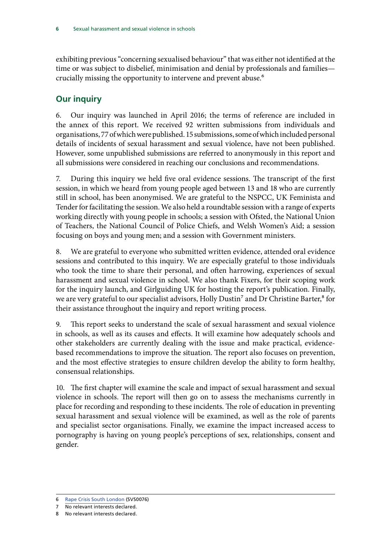<span id="page-7-0"></span>exhibiting previous "concerning sexualised behaviour" that was either not identified at the time or was subject to disbelief, minimisation and denial by professionals and families crucially missing the opportunity to intervene and prevent abuse.<sup>6</sup>

#### **Our inquiry**

6. Our inquiry was launched in April 2016; the terms of reference are included in the annex of this report. We received 92 written submissions from individuals and organisations, 77 of which were published. 15 submissions, some of which included personal details of incidents of sexual harassment and sexual violence, have not been published. However, some unpublished submissions are referred to anonymously in this report and all submissions were considered in reaching our conclusions and recommendations.

7. During this inquiry we held five oral evidence sessions. The transcript of the first session, in which we heard from young people aged between 13 and 18 who are currently still in school, has been anonymised. We are grateful to the NSPCC, UK Feminista and Tender for facilitating the session. We also held a roundtable session with a range of experts working directly with young people in schools; a session with Ofsted, the National Union of Teachers, the National Council of Police Chiefs, and Welsh Women's Aid; a session focusing on boys and young men; and a session with Government ministers.

8. We are grateful to everyone who submitted written evidence, attended oral evidence sessions and contributed to this inquiry. We are especially grateful to those individuals who took the time to share their personal, and often harrowing, experiences of sexual harassment and sexual violence in school. We also thank Fixers, for their scoping work for the inquiry launch, and Girlguiding UK for hosting the report's publication. Finally, we are very grateful to our specialist advisors, Holly Dustin<sup>7</sup> and Dr Christine Barter,<sup>8</sup> for their assistance throughout the inquiry and report writing process.

9. This report seeks to understand the scale of sexual harassment and sexual violence in schools, as well as its causes and effects. It will examine how adequately schools and other stakeholders are currently dealing with the issue and make practical, evidencebased recommendations to improve the situation. The report also focuses on prevention, and the most effective strategies to ensure children develop the ability to form healthy, consensual relationships.

10. The first chapter will examine the scale and impact of sexual harassment and sexual violence in schools. The report will then go on to assess the mechanisms currently in place for recording and responding to these incidents. The role of education in preventing sexual harassment and sexual violence will be examined, as well as the role of parents and specialist sector organisations. Finally, we examine the impact increased access to pornography is having on young people's perceptions of sex, relationships, consent and gender.

<sup>6</sup> [Rape Crisis South London](http://data.parliament.uk/writtenevidence/committeeevidence.svc/evidencedocument/women-and-equalities-committee/sexual-harassment-and-sexual-violence-in-schools/written/33578.html) (SVS0076)

<sup>7</sup> No relevant interests declared.

<sup>8</sup> No relevant interests declared.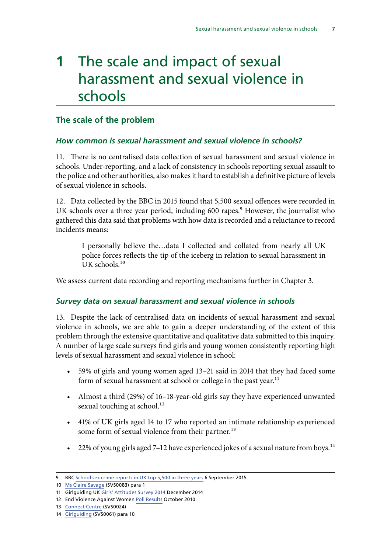## <span id="page-8-0"></span>**1** The scale and impact of sexual harassment and sexual violence in schools

#### **The scale of the problem**

#### *How common is sexual harassment and sexual violence in schools?*

11. There is no centralised data collection of sexual harassment and sexual violence in schools. Under-reporting, and a lack of consistency in schools reporting sexual assault to the police and other authorities, also makes it hard to establish a definitive picture of levels of sexual violence in schools.

12. Data collected by the BBC in 2015 found that 5,500 sexual offences were recorded in UK schools over a three year period, including 600 rapes.<sup>9</sup> However, the journalist who gathered this data said that problems with how data is recorded and a reluctance to record incidents means:

I personally believe the…data I collected and collated from nearly all UK police forces reflects the tip of the iceberg in relation to sexual harassment in UK schools.<sup>10</sup>

We assess current data recording and reporting mechanisms further in Chapter 3.

#### *Survey data on sexual harassment and sexual violence in schools*

13. Despite the lack of centralised data on incidents of sexual harassment and sexual violence in schools, we are able to gain a deeper understanding of the extent of this problem through the extensive quantitative and qualitative data submitted to this inquiry. A number of large scale surveys find girls and young women consistently reporting high levels of sexual harassment and sexual violence in school:

- • 59% of girls and young women aged 13–21 said in 2014 that they had faced some form of sexual harassment at school or college in the past year.<sup>11</sup>
- • Almost a third (29%) of 16–18-year-old girls say they have experienced unwanted sexual touching at school.<sup>12</sup>
- • 41% of UK girls aged 14 to 17 who reported an intimate relationship experienced some form of sexual violence from their partner.<sup>13</sup>
- 22% of young girls aged 7-12 have experienced jokes of a sexual nature from boys.<sup>14</sup>

<sup>9</sup> BBC [School sex crime reports in UK top 5,500 in three years](http://www.bbc.co.uk/news/education-34138287) 6 September 2015

<sup>10</sup> [Ms Claire Savage](http://data.parliament.uk/writtenevidence/committeeevidence.svc/evidencedocument/women-and-equalities-committee/sexual-harassment-and-sexual-violence-in-schools/written/33954.html) (SVS0083) para 1

<sup>11</sup> Girlguiding UK [Girls' Attitudes Survey 2014](http://new.girlguiding.org.uk/girls-attitudes-survey-2014) December 2014

<sup>12</sup> End Violence Against Women [Poll Results](http://www.endviolenceagainstwomen.org.uk/data/files/Schools_Safe_4_Girls/YouGov_poll_for_EVAW_on_sexual_harassment_in_schools_2010.pdf) October 2010

<sup>13</sup> [Connect Centre](http://data.parliament.uk/writtenevidence/committeeevidence.svc/evidencedocument/women-and-equalities-committee/sexual-harassment-and-sexual-violence-in-schools/written/33352.html) (SVS0024)

<sup>14</sup> [Girlguiding](http://data.parliament.uk/writtenevidence/committeeevidence.svc/evidencedocument/women-and-equalities-committee/sexual-harassment-and-sexual-violence-in-schools/written/33537.pdf) (SVS0061) para 10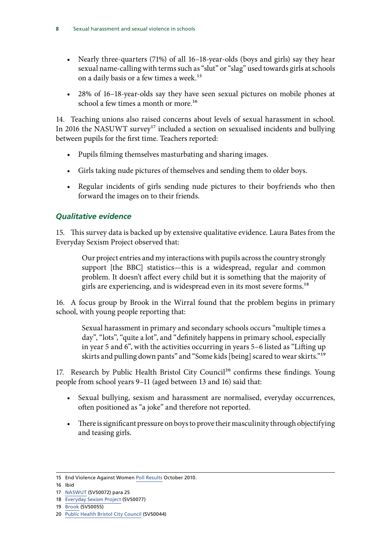- <span id="page-9-0"></span>• Nearly three-quarters (71%) of all 16–18-year-olds (boys and girls) say they hear sexual name-calling with terms such as "slut" or "slag" used towards girls at schools on a daily basis or a few times a week.<sup>15</sup>
- 28% of 16-18-year-olds say they have seen sexual pictures on mobile phones at school a few times a month or more.<sup>16</sup>

14. Teaching unions also raised concerns about levels of sexual harassment in school. In 2016 the NASUWT survey<sup>17</sup> included a section on sexualised incidents and bullying between pupils for the first time. Teachers reported:

- Pupils filming themselves masturbating and sharing images.
- • Girls taking nude pictures of themselves and sending them to older boys.
- Regular incidents of girls sending nude pictures to their boyfriends who then forward the images on to their friends.

#### *Qualitative evidence*

15. This survey data is backed up by extensive qualitative evidence. Laura Bates from the Everyday Sexism Project observed that:

Our project entries and my interactions with pupils across the country strongly support [the BBC] statistics—this is a widespread, regular and common problem. It doesn't affect every child but it is something that the majority of girls are experiencing, and is widespread even in its most severe forms.<sup>18</sup>

16. A focus group by Brook in the Wirral found that the problem begins in primary school, with young people reporting that:

Sexual harassment in primary and secondary schools occurs "multiple times a day", "lots", "quite a lot", and "definitely happens in primary school, especially in year 5 and 6", with the activities occurring in years 5–6 listed as "Lifting up skirts and pulling down pants" and "Some kids [being] scared to wear skirts."19

17. Research by Public Health Bristol City Council<sup>20</sup> confirms these findings. Young people from school years 9–11 (aged between 13 and 16) said that:

- • Sexual bullying, sexism and harassment are normalised, everyday occurrences, often positioned as "a joke" and therefore not reported.
- There is significant pressure on boys to prove their masculinity through objectifying and teasing girls.

<sup>15</sup> End Violence Against Women [Poll Results](http://www.endviolenceagainstwomen.org.uk/data/files/Schools_Safe_4_Girls/YouGov_poll_for_EVAW_on_sexual_harassment_in_schools_2010.pdf) October 2010.

<sup>16</sup> Ibid

<sup>17</sup> [NASWUT](http://data.parliament.uk/writtenevidence/committeeevidence.svc/evidencedocument/women-and-equalities-committee/sexual-harassment-and-sexual-violence-in-schools/written/33571.pdf) (SVS0072) para 25

<sup>18</sup> [Everyday Sexism Project](http://data.parliament.uk/writtenevidence/committeeevidence.svc/evidencedocument/women-and-equalities-committee/sexual-harassment-and-sexual-violence-in-schools/written/33579.html) (SVS0077)

<sup>19</sup> [Brook](http://data.parliament.uk/writtenevidence/committeeevidence.svc/evidencedocument/women-and-equalities-committee/sexual-harassment-and-sexual-violence-in-schools/written/33523.pdf) (SVS0055)

<sup>20</sup> [Public Health Bristol City Council](http://data.parliament.uk/writtenevidence/committeeevidence.svc/evidencedocument/women-and-equalities-committee/sexual-harassment-and-sexual-violence-in-schools/written/33485.pdf) (SVS0044)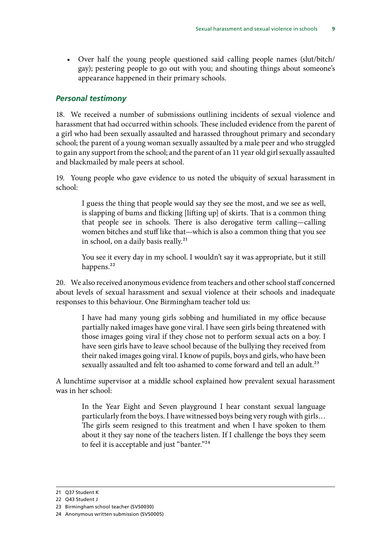<span id="page-10-0"></span>• Over half the young people questioned said calling people names (slut/bitch/ gay); pestering people to go out with you; and shouting things about someone's appearance happened in their primary schools.

#### *Personal testimony*

18. We received a number of submissions outlining incidents of sexual violence and harassment that had occurred within schools. These included evidence from the parent of a girl who had been sexually assaulted and harassed throughout primary and secondary school; the parent of a young woman sexually assaulted by a male peer and who struggled to gain any support from the school; and the parent of an 11 year old girl sexually assaulted and blackmailed by male peers at school.

19. Young people who gave evidence to us noted the ubiquity of sexual harassment in school:

I guess the thing that people would say they see the most, and we see as well, is slapping of bums and flicking [lifting up] of skirts. That is a common thing that people see in schools. There is also derogative term calling—calling women bitches and stuff like that—which is also a common thing that you see in school, on a daily basis really.<sup>21</sup>

You see it every day in my school. I wouldn't say it was appropriate, but it still happens.<sup>22</sup>

20. We also received anonymous evidence from teachers and other school staff concerned about levels of sexual harassment and sexual violence at their schools and inadequate responses to this behaviour. One Birmingham teacher told us:

I have had many young girls sobbing and humiliated in my office because partially naked images have gone viral. I have seen girls being threatened with those images going viral if they chose not to perform sexual acts on a boy. I have seen girls have to leave school because of the bullying they received from their naked images going viral. I know of pupils, boys and girls, who have been sexually assaulted and felt too ashamed to come forward and tell an adult.<sup>23</sup>

A lunchtime supervisor at a middle school explained how prevalent sexual harassment was in her school:

In the Year Eight and Seven playground I hear constant sexual language particularly from the boys. I have witnessed boys being very rough with girls… The girls seem resigned to this treatment and when I have spoken to them about it they say none of the teachers listen. If I challenge the boys they seem to feel it is acceptable and just "banter."<sup>24</sup>

<sup>21</sup> Q37 Student K

<sup>22</sup> Q43 Student J

<sup>23</sup> Birmingham school teacher (SVS0030)

<sup>24</sup> Anonymous written submission (SVS0005)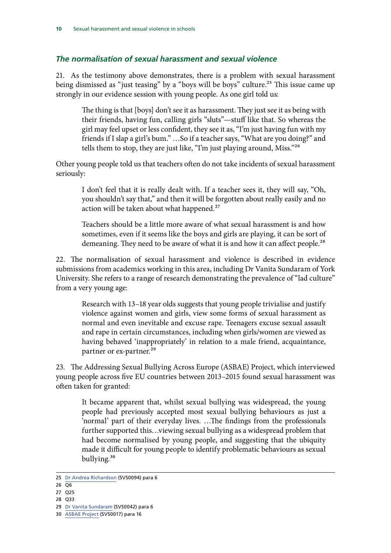#### <span id="page-11-0"></span>*The normalisation of sexual harassment and sexual violence*

21. As the testimony above demonstrates, there is a problem with sexual harassment being dismissed as "just teasing" by a "boys will be boys" culture.<sup>25</sup> This issue came up strongly in our evidence session with young people. As one girl told us:

The thing is that [boys] don't see it as harassment. They just see it as being with their friends, having fun, calling girls "sluts"—stuff like that. So whereas the girl may feel upset or less confident, they see it as, "I'm just having fun with my friends if I slap a girl's bum." …So if a teacher says, "What are you doing?" and tells them to stop, they are just like, "I'm just playing around, Miss."26

Other young people told us that teachers often do not take incidents of sexual harassment seriously:

I don't feel that it is really dealt with. If a teacher sees it, they will say, "Oh, you shouldn't say that," and then it will be forgotten about really easily and no action will be taken about what happened.<sup>27</sup>

Teachers should be a little more aware of what sexual harassment is and how sometimes, even if it seems like the boys and girls are playing, it can be sort of demeaning. They need to be aware of what it is and how it can affect people.<sup>28</sup>

22. The normalisation of sexual harassment and violence is described in evidence submissions from academics working in this area, including Dr Vanita Sundaram of York University. She refers to a range of research demonstrating the prevalence of "lad culture" from a very young age:

Research with 13–18 year olds suggests that young people trivialise and justify violence against women and girls, view some forms of sexual harassment as normal and even inevitable and excuse rape. Teenagers excuse sexual assault and rape in certain circumstances, including when girls/women are viewed as having behaved 'inappropriately' in relation to a male friend, acquaintance, partner or ex-partner.<sup>29</sup>

23. The Addressing Sexual Bullying Across Europe (ASBAE) Project, which interviewed young people across five EU countries between 2013–2015 found sexual harassment was often taken for granted:

It became apparent that, whilst sexual bullying was widespread, the young people had previously accepted most sexual bullying behaviours as just a 'normal' part of their everyday lives. …The findings from the professionals further supported this…viewing sexual bullying as a widespread problem that had become normalised by young people, and suggesting that the ubiquity made it difficult for young people to identify problematic behaviours as sexual bullying.30

- 27 Q25
- 28 Q33

<sup>25</sup> [Dr Andrea Richardson](http://data.parliament.uk/writtenevidence/committeeevidence.svc/evidencedocument/women-and-equalities-committee/sexual-harassment-and-sexual-violence-in-schools/written/34380.pdf) (SVS0094) para 6

 $26 \overline{Q6}$ 

<sup>29</sup> [Dr Vanita Sundaram](http://data.parliament.uk/writtenevidence/committeeevidence.svc/evidencedocument/women-and-equalities-committee/sexual-harassment-and-sexual-violence-in-schools/written/33479.pdf) (SVS0042) para 6

<sup>30</sup> [ASBAE Project](http://data.parliament.uk/writtenevidence/committeeevidence.svc/evidencedocument/women-and-equalities-committee/sexual-harassment-and-sexual-violence-in-schools/written/33189.html) (SVS0017) para 16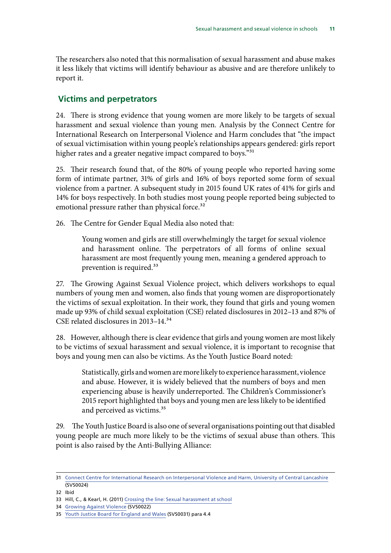<span id="page-12-0"></span>The researchers also noted that this normalisation of sexual harassment and abuse makes it less likely that victims will identify behaviour as abusive and are therefore unlikely to report it.

#### **Victims and perpetrators**

24. There is strong evidence that young women are more likely to be targets of sexual harassment and sexual violence than young men. Analysis by the Connect Centre for International Research on Interpersonal Violence and Harm concludes that "the impact of sexual victimisation within young people's relationships appears gendered: girls report higher rates and a greater negative impact compared to boys."<sup>31</sup>

25. Their research found that, of the 80% of young people who reported having some form of intimate partner, 31% of girls and 16% of boys reported some form of sexual violence from a partner. A subsequent study in 2015 found UK rates of 41% for girls and 14% for boys respectively. In both studies most young people reported being subjected to emotional pressure rather than physical force.<sup>32</sup>

26. The Centre for Gender Equal Media also noted that:

Young women and girls are still overwhelmingly the target for sexual violence and harassment online. The perpetrators of all forms of online sexual harassment are most frequently young men, meaning a gendered approach to prevention is required.33

27. The Growing Against Sexual Violence project, which delivers workshops to equal numbers of young men and women, also finds that young women are disproportionately the victims of sexual exploitation. In their work, they found that girls and young women made up 93% of child sexual exploitation (CSE) related disclosures in 2012–13 and 87% of CSE related disclosures in 2013–14.34

28. However, although there is clear evidence that girls and young women are most likely to be victims of sexual harassment and sexual violence, it is important to recognise that boys and young men can also be victims. As the Youth Justice Board noted:

Statistically, girls and women are more likely to experience harassment, violence and abuse. However, it is widely believed that the numbers of boys and men experiencing abuse is heavily underreported. The Children's Commissioner's 2015 report highlighted that boys and young men are less likely to be identified and perceived as victims.<sup>35</sup>

29. The Youth Justice Board is also one of several organisations pointing out that disabled young people are much more likely to be the victims of sexual abuse than others. This point is also raised by the Anti-Bullying Alliance:

<sup>31</sup> [Connect Centre for International Research on Interpersonal Violence and Harm, University of Central Lancashire](http://data.parliament.uk/writtenevidence/committeeevidence.svc/evidencedocument/women-and-equalities-committee/sexual-harassment-and-sexual-violence-in-schools/written/33352.html)  (SVS0024)

<sup>32</sup> Ibid

<sup>33</sup> Hill, C., & Kearl, H. (2011) [Crossing the line: Sexual harassment at school](http://www.aauw.org/files/2013/02/Crossing-the-Line-Sexual-Harassment-at-School.pdf)

<sup>34</sup> [Growing Against Violence](http://data.parliament.uk/writtenevidence/committeeevidence.svc/evidencedocument/women-and-equalities-committee/sexual-harassment-and-sexual-violence-in-schools/written/33348.html) (SVS0022)

<sup>35</sup> [Youth Justice Board for England and Wales](http://data.parliament.uk/writtenevidence/committeeevidence.svc/evidencedocument/women-and-equalities-committee/sexual-harassment-and-sexual-violence-in-schools/written/33414.html) (SVS0031) para 4.4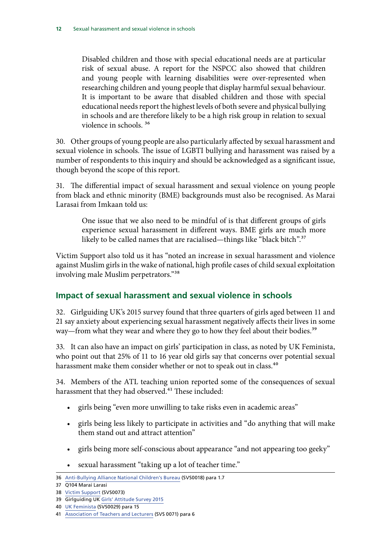<span id="page-13-0"></span>Disabled children and those with special educational needs are at particular risk of sexual abuse. A report for the NSPCC also showed that children and young people with learning disabilities were over-represented when researching children and young people that display harmful sexual behaviour. It is important to be aware that disabled children and those with special educational needs report the highest levels of both severe and physical bullying in schools and are therefore likely to be a high risk group in relation to sexual violence in schools. 36

30. Other groups of young people are also particularly affected by sexual harassment and sexual violence in schools. The issue of LGBTI bullying and harassment was raised by a number of respondents to this inquiry and should be acknowledged as a significant issue, though beyond the scope of this report.

31. The differential impact of sexual harassment and sexual violence on young people from black and ethnic minority (BME) backgrounds must also be recognised. As Marai Larasai from Imkaan told us:

One issue that we also need to be mindful of is that different groups of girls experience sexual harassment in different ways. BME girls are much more likely to be called names that are racialised—things like "black bitch".<sup>37</sup>

Victim Support also told us it has "noted an increase in sexual harassment and violence against Muslim girls in the wake of national, high profile cases of child sexual exploitation involving male Muslim perpetrators."38

#### **Impact of sexual harassment and sexual violence in schools**

32. Girlguiding UK's 2015 survey found that three quarters of girls aged between 11 and 21 say anxiety about experiencing sexual harassment negatively affects their lives in some way—from what they wear and where they go to how they feel about their bodies.<sup>39</sup>

33. It can also have an impact on girls' participation in class, as noted by UK Feminista, who point out that 25% of 11 to 16 year old girls say that concerns over potential sexual harassment make them consider whether or not to speak out in class.<sup>40</sup>

34. Members of the ATL teaching union reported some of the consequences of sexual harassment that they had observed.<sup>41</sup> These included:

- girls being "even more unwilling to take risks even in academic areas"
- girls being less likely to participate in activities and "do anything that will make them stand out and attract attention"
- girls being more self-conscious about appearance "and not appearing too geeky"
- sexual harassment "taking up a lot of teacher time."

<sup>36</sup> [Anti-Bullying Alliance National Children's Bureau](http://data.parliament.uk/writtenevidence/committeeevidence.svc/evidencedocument/women-and-equalities-committee/sexual-harassment-and-sexual-violence-in-schools/written/33302.html) (SVS0018) para 1.7

<sup>37</sup> Q104 Marai Larasi

<sup>38</sup> [Victim Support](http://data.parliament.uk/writtenevidence/committeeevidence.svc/evidencedocument/women-and-equalities-committee/sexual-harassment-and-sexual-violence-in-schools/written/33572.html) (SVS0073)

<sup>39</sup> Girlguiding UK [Girls' Attitude Survey 2015](http://new.girlguiding.org.uk/latest-updates/making-a-difference/girls-attitudes-survey-2015) 

<sup>40</sup> [UK Feminista](http://data.parliament.uk/writtenevidence/committeeevidence.svc/evidencedocument/women-and-equalities-committee/sexual-harassment-and-sexual-violence-in-schools/written/33401.html) (SVS0029) para 15

<sup>41</sup> [Association of Teachers and Lecturers](http://data.parliament.uk/writtenevidence/committeeevidence.svc/evidencedocument/women-and-equalities-committee/sexual-harassment-and-sexual-violence-in-schools/written/33569.html) (SVS 0071) para 6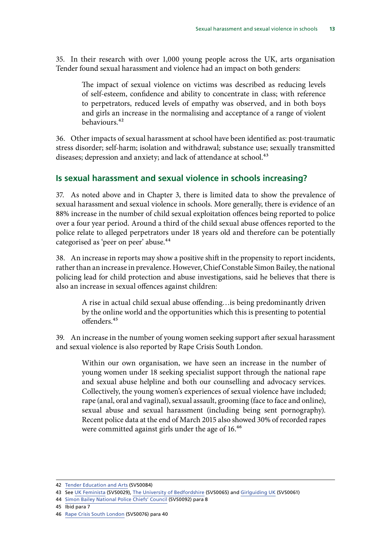<span id="page-14-0"></span>35. In their research with over 1,000 young people across the UK, arts organisation Tender found sexual harassment and violence had an impact on both genders:

The impact of sexual violence on victims was described as reducing levels of self-esteem, confidence and ability to concentrate in class; with reference to perpetrators, reduced levels of empathy was observed, and in both boys and girls an increase in the normalising and acceptance of a range of violent behaviours.42

36. Other impacts of sexual harassment at school have been identified as: post-traumatic stress disorder; self-harm; isolation and withdrawal; substance use; sexually transmitted diseases; depression and anxiety; and lack of attendance at school.<sup>43</sup>

#### **Is sexual harassment and sexual violence in schools increasing?**

37. As noted above and in Chapter 3, there is limited data to show the prevalence of sexual harassment and sexual violence in schools. More generally, there is evidence of an 88% increase in the number of child sexual exploitation offences being reported to police over a four year period. Around a third of the child sexual abuse offences reported to the police relate to alleged perpetrators under 18 years old and therefore can be potentially categorised as 'peer on peer' abuse.<sup>44</sup>

38. An increase in reports may show a positive shift in the propensity to report incidents, rather than an increase in prevalence. However, Chief Constable Simon Bailey, the national policing lead for child protection and abuse investigations, said he believes that there is also an increase in sexual offences against children:

A rise in actual child sexual abuse offending…is being predominantly driven by the online world and the opportunities which this is presenting to potential offenders.45

39. An increase in the number of young women seeking support after sexual harassment and sexual violence is also reported by Rape Crisis South London.

Within our own organisation, we have seen an increase in the number of young women under 18 seeking specialist support through the national rape and sexual abuse helpline and both our counselling and advocacy services. Collectively, the young women's experiences of sexual violence have included; rape (anal, oral and vaginal), sexual assault, grooming (face to face and online), sexual abuse and sexual harassment (including being sent pornography). Recent police data at the end of March 2015 also showed 30% of recorded rapes were committed against girls under the age of 16.<sup>46</sup>

45 Ibid para 7

<sup>42</sup> [Tender Education and Arts](http://data.parliament.uk/writtenevidence/committeeevidence.svc/evidencedocument/women-and-equalities-committee/sexual-harassment-and-sexual-violence-in-schools/written/34057.html) (SVS0084)

 43 See [UK Feminista](http://data.parliament.uk/writtenevidence/committeeevidence.svc/evidencedocument/women-and-equalities-committee/sexual-harassment-and-sexual-violence-in-schools/written/33401.html) (SVS0029), [The University of Bedfordshire](http://data.parliament.uk/writtenevidence/committeeevidence.svc/evidencedocument/women-and-equalities-committee/sexual-harassment-and-sexual-violence-in-schools/written/33552.html) (SVS0065) and [Girlguiding UK](http://data.parliament.uk/writtenevidence/committeeevidence.svc/evidencedocument/women-and-equalities-committee/sexual-harassment-and-sexual-violence-in-schools/written/33537.html) (SVS0061)

<sup>44</sup> [Simon Bailey National Police Chiefs' Council](http://data.parliament.uk/writtenevidence/committeeevidence.svc/evidencedocument/women-and-equalities-committee/sexual-harassment-and-sexual-violence-in-schools/written/34261.html) (SVS0092) para 8

<sup>46</sup> [Rape Crisis South London](http://data.parliament.uk/writtenevidence/committeeevidence.svc/evidencedocument/women-and-equalities-committee/sexual-harassment-and-sexual-violence-in-schools/written/33578.html) (SVS0076) para 40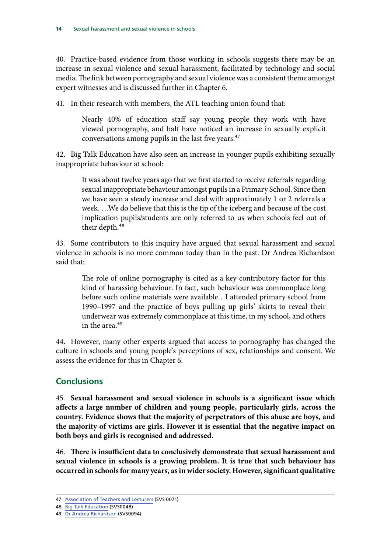<span id="page-15-0"></span>40. Practice-based evidence from those working in schools suggests there may be an increase in sexual violence and sexual harassment, facilitated by technology and social media. The link between pornography and sexual violence was a consistent theme amongst expert witnesses and is discussed further in Chapter 6.

41. In their research with members, the ATL teaching union found that:

Nearly 40% of education staff say young people they work with have viewed pornography, and half have noticed an increase in sexually explicit conversations among pupils in the last five years.<sup>47</sup>

42. Big Talk Education have also seen an increase in younger pupils exhibiting sexually inappropriate behaviour at school:

It was about twelve years ago that we first started to receive referrals regarding sexual inappropriate behaviour amongst pupils in a Primary School. Since then we have seen a steady increase and deal with approximately 1 or 2 referrals a week. …We do believe that this is the tip of the iceberg and because of the cost implication pupils/students are only referred to us when schools feel out of their depth.<sup>48</sup>

43. Some contributors to this inquiry have argued that sexual harassment and sexual violence in schools is no more common today than in the past. Dr Andrea Richardson said that:

The role of online pornography is cited as a key contributory factor for this kind of harassing behaviour. In fact, such behaviour was commonplace long before such online materials were available…I attended primary school from 1990–1997 and the practice of boys pulling up girls' skirts to reveal their underwear was extremely commonplace at this time, in my school, and others in the area. $49$ 

44. However, many other experts argued that access to pornography has changed the culture in schools and young people's perceptions of sex, relationships and consent. We assess the evidence for this in Chapter 6.

#### **Conclusions**

45. **Sexual harassment and sexual violence in schools is a significant issue which affects a large number of children and young people, particularly girls, across the country. Evidence shows that the majority of perpetrators of this abuse are boys, and the majority of victims are girls. However it is essential that the negative impact on both boys and girls is recognised and addressed.** 

46. **There is insufficient data to conclusively demonstrate that sexual harassment and sexual violence in schools is a growing problem. It is true that such behaviour has occurred in schools for many years, as in wider society. However, significant qualitative** 

<sup>47</sup> [Association of Teachers and Lecturers](http://data.parliament.uk/writtenevidence/committeeevidence.svc/evidencedocument/women-and-equalities-committee/sexual-harassment-and-sexual-violence-in-schools/written/33569.html) (SVS 0071)

<sup>48</sup> [Big Talk Education](http://data.parliament.uk/writtenevidence/committeeevidence.svc/evidencedocument/women-and-equalities-committee/sexual-harassment-and-sexual-violence-in-schools/written/33503.html) (SVS0048)

<sup>49</sup> [Dr Andrea Richardson](http://data.parliament.uk/writtenevidence/committeeevidence.svc/evidencedocument/women-and-equalities-committee/sexual-harassment-and-sexual-violence-in-schools/written/34380.html) (SVS0094)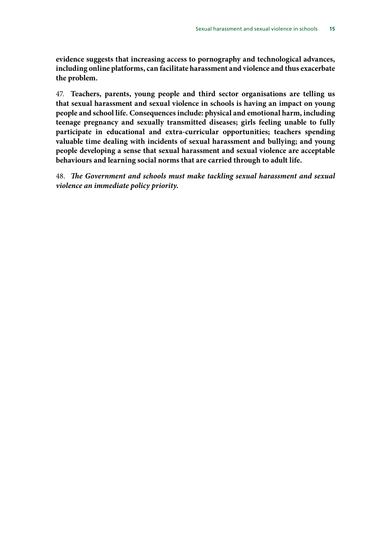**evidence suggests that increasing access to pornography and technological advances, including online platforms, can facilitate harassment and violence and thus exacerbate the problem.** 

47. **Teachers, parents, young people and third sector organisations are telling us that sexual harassment and sexual violence in schools is having an impact on young people and school life. Consequences include: physical and emotional harm, including teenage pregnancy and sexually transmitted diseases; girls feeling unable to fully participate in educational and extra-curricular opportunities; teachers spending valuable time dealing with incidents of sexual harassment and bullying; and young people developing a sense that sexual harassment and sexual violence are acceptable behaviours and learning social norms that are carried through to adult life.** 

48. *The Government and schools must make tackling sexual harassment and sexual violence an immediate policy priority.*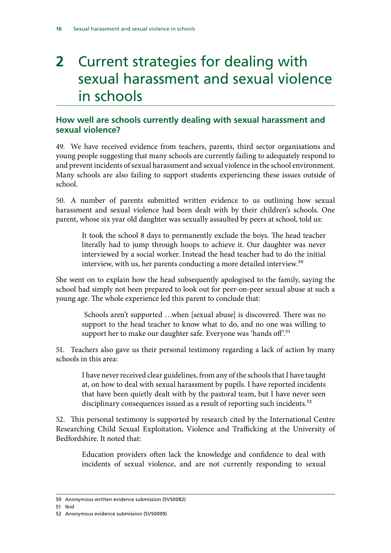## <span id="page-17-0"></span>**2** Current strategies for dealing with sexual harassment and sexual violence in schools

#### **How well are schools currently dealing with sexual harassment and sexual violence?**

49. We have received evidence from teachers, parents, third sector organisations and young people suggesting that many schools are currently failing to adequately respond to and prevent incidents of sexual harassment and sexual violence in the school environment. Many schools are also failing to support students experiencing these issues outside of school.

50. A number of parents submitted written evidence to us outlining how sexual harassment and sexual violence had been dealt with by their children's schools. One parent, whose six year old daughter was sexually assaulted by peers at school, told us:

It took the school 8 days to permanently exclude the boys. The head teacher literally had to jump through hoops to achieve it. Our daughter was never interviewed by a social worker. Instead the head teacher had to do the initial interview, with us, her parents conducting a more detailed interview.<sup>50</sup>

She went on to explain how the head subsequently apologised to the family, saying the school had simply not been prepared to look out for peer-on-peer sexual abuse at such a young age. The whole experience led this parent to conclude that:

 Schools aren't supported …when [sexual abuse] is discovered. There was no support to the head teacher to know what to do, and no one was willing to support her to make our daughter safe. Everyone was 'hands off'.<sup>51</sup>

51. Teachers also gave us their personal testimony regarding a lack of action by many schools in this area:

I have never received clear guidelines, from any of the schools that I have taught at, on how to deal with sexual harassment by pupils. I have reported incidents that have been quietly dealt with by the pastoral team, but I have never seen disciplinary consequences issued as a result of reporting such incidents.<sup>52</sup>

52. This personal testimony is supported by research cited by the International Centre Researching Child Sexual Exploitation, Violence and Trafficking at the University of Bedfordshire. It noted that:

Education providers often lack the knowledge and confidence to deal with incidents of sexual violence, and are not currently responding to sexual

51 Ibid

<sup>50</sup> Anonymous written evidence submission (SVS0082)

<sup>52</sup> Anonymous evidence submission (SVS0009)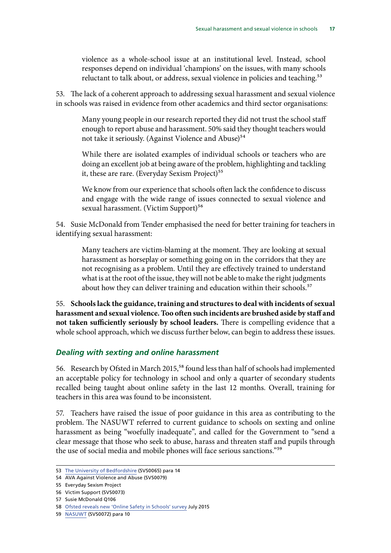<span id="page-18-0"></span>violence as a whole-school issue at an institutional level. Instead, school responses depend on individual 'champions' on the issues, with many schools reluctant to talk about, or address, sexual violence in policies and teaching.<sup>53</sup>

53. The lack of a coherent approach to addressing sexual harassment and sexual violence in schools was raised in evidence from other academics and third sector organisations:

Many young people in our research reported they did not trust the school staff enough to report abuse and harassment. 50% said they thought teachers would not take it seriously. (Against Violence and Abuse)<sup>54</sup>

While there are isolated examples of individual schools or teachers who are doing an excellent job at being aware of the problem, highlighting and tackling it, these are rare. (Everyday Sexism Project)<sup>55</sup>

We know from our experience that schools often lack the confidence to discuss and engage with the wide range of issues connected to sexual violence and sexual harassment. (Victim Support)<sup>56</sup>

54. Susie McDonald from Tender emphasised the need for better training for teachers in identifying sexual harassment:

Many teachers are victim-blaming at the moment. They are looking at sexual harassment as horseplay or something going on in the corridors that they are not recognising as a problem. Until they are effectively trained to understand what is at the root of the issue, they will not be able to make the right judgments about how they can deliver training and education within their schools.<sup>57</sup>

55. **Schools lack the guidance, training and structures to deal with incidents of sexual harassment and sexual violence. Too often such incidents are brushed aside by staff and not taken sufficiently seriously by school leaders.** There is compelling evidence that a whole school approach, which we discuss further below, can begin to address these issues.

#### *Dealing with sexting and online harassment*

56. Research by Ofsted in March 2015,<sup>58</sup> found less than half of schools had implemented an acceptable policy for technology in school and only a quarter of secondary students recalled being taught about online safety in the last 12 months. Overall, training for teachers in this area was found to be inconsistent.

57. Teachers have raised the issue of poor guidance in this area as contributing to the problem. The NASUWT referred to current guidance to schools on sexting and online harassment as being "woefully inadequate", and called for the Government to "send a clear message that those who seek to abuse, harass and threaten staff and pupils through the use of social media and mobile phones will face serious sanctions."59

<sup>53</sup> [The University of Bedfordshire](http://data.parliament.uk/writtenevidence/committeeevidence.svc/evidencedocument/women-and-equalities-committee/sexual-harassment-and-sexual-violence-in-schools/written/33552.html) (SVS0065) para 14

<sup>54</sup> AVA Against Violence and Abuse (SVS0079)

<sup>55</sup> Everyday Sexism Project

<sup>56</sup> Victim Support (SVS0073)

<sup>57</sup> Susie McDonald Q106

<sup>58</sup> [Ofsted reveals new 'Online Safety in Schools' survey](http://www.saferinternet.org.uk/news/ofsted-reveals-new-online-safety-in-schools-survey) July 2015

<sup>59</sup> [NASUWT](http://data.parliament.uk/writtenevidence/committeeevidence.svc/evidencedocument/women-and-equalities-committee/sexual-harassment-and-sexual-violence-in-schools/written/33571.pdf) (SVS0072) para 10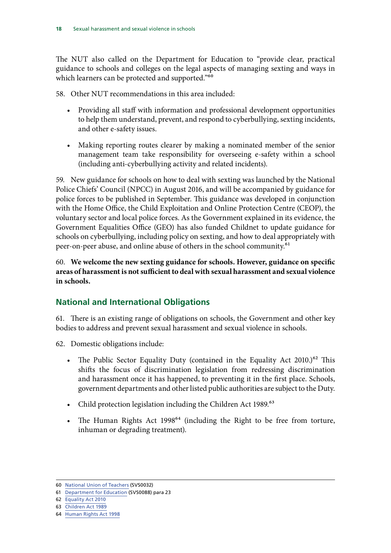<span id="page-19-0"></span>The NUT also called on the Department for Education to "provide clear, practical guidance to schools and colleges on the legal aspects of managing sexting and ways in which learners can be protected and supported."<sup>60</sup>

58. Other NUT recommendations in this area included:

- Providing all staff with information and professional development opportunities to help them understand, prevent, and respond to cyberbullying, sexting incidents, and other e-safety issues.
- Making reporting routes clearer by making a nominated member of the senior management team take responsibility for overseeing e-safety within a school (including anti-cyberbullying activity and related incidents).

59. New guidance for schools on how to deal with sexting was launched by the National Police Chiefs' Council (NPCC) in August 2016, and will be accompanied by guidance for police forces to be published in September. This guidance was developed in conjunction with the Home Office, the Child Exploitation and Online Protection Centre (CEOP), the voluntary sector and local police forces. As the Government explained in its evidence, the Government Equalities Office (GEO) has also funded Childnet to update guidance for schools on cyberbullying, including policy on sexting, and how to deal appropriately with peer-on-peer abuse, and online abuse of others in the school community.<sup>61</sup>

60. **We welcome the new sexting guidance for schools. However, guidance on specific areas of harassment is not sufficient to deal with sexual harassment and sexual violence in schools.** 

#### **National and International Obligations**

61. There is an existing range of obligations on schools, the Government and other key bodies to address and prevent sexual harassment and sexual violence in schools.

62. Domestic obligations include:

- The Public Sector Equality Duty (contained in the Equality Act  $2010^{62}$  This shifts the focus of discrimination legislation from redressing discrimination and harassment once it has happened, to preventing it in the first place. Schools, government departments and other listed public authorities are subject to the Duty.
- Child protection legislation including the Children Act 1989.<sup>63</sup>
- The Human Rights Act 1998<sup>64</sup> (including the Right to be free from torture, inhuman or degrading treatment).

<sup>60</sup> [National Union of Teachers](http://data.parliament.uk/writtenevidence/committeeevidence.svc/evidencedocument/women-and-equalities-committee/sexual-harassment-and-sexual-violence-in-schools/written/33418.html) (SVS0032)

<sup>61</sup> [Department for Education](http://data.parliament.uk/writtenevidence/committeeevidence.svc/evidencedocument/women-and-equalities-committee/sexual-harassment-and-sexual-violence-in-schools/written/34062.html) (SVS0088) para 23

<sup>62</sup> [Equality Act 2010](http://www.legislation.gov.uk/ukpga/2010/15/contents)

<sup>63</sup> [Children Act 1989](http://www.legislation.gov.uk/ukpga/1989/41/contents) 

<sup>64</sup> [Human Rights Act 1998](https://www.equalityhumanrights.com/en/human-rights/human-rights-act)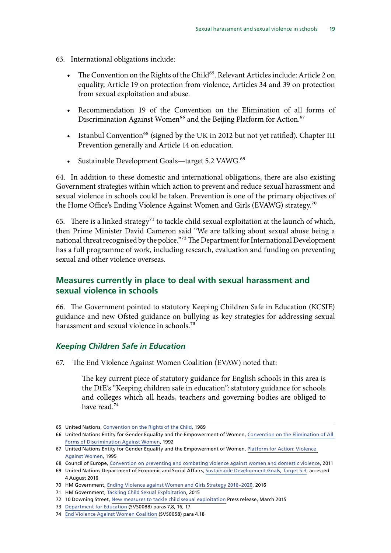- <span id="page-20-0"></span>63. International obligations include:
	- The Convention on the Rights of the Child<sup>65</sup>. Relevant Articles include: Article 2 on equality, Article 19 on protection from violence, Articles 34 and 39 on protection from sexual exploitation and abuse.
	- • Recommendation 19 of the Convention on the Elimination of all forms of Discrimination Against Women<sup>66</sup> and the Beijing Platform for Action.<sup>67</sup>
	- Istanbul Convention<sup>68</sup> (signed by the UK in 2012 but not yet ratified). Chapter III Prevention generally and Article 14 on education.
	- Sustainable Development Goals-target 5.2 VAWG.<sup>69</sup>

64. In addition to these domestic and international obligations, there are also existing Government strategies within which action to prevent and reduce sexual harassment and sexual violence in schools could be taken. Prevention is one of the primary objectives of the Home Office's Ending Violence Against Women and Girls (EVAWG) strategy.70

65. There is a linked strategy<sup>71</sup> to tackle child sexual exploitation at the launch of which, then Prime Minister David Cameron said "We are talking about sexual abuse being a national threat recognised by the police."<sup>72</sup> The Department for International Development has a full programme of work, including research, evaluation and funding on preventing sexual and other violence overseas.

#### **Measures currently in place to deal with sexual harassment and sexual violence in schools**

66. The Government pointed to statutory Keeping Children Safe in Education (KCSIE) guidance and new Ofsted guidance on bullying as key strategies for addressing sexual harassment and sexual violence in schools.<sup>73</sup>

#### *Keeping Children Safe in Education*

67. The End Violence Against Women Coalition (EVAW) noted that:

The key current piece of statutory guidance for English schools in this area is the DfE's "Keeping children safe in education": statutory guidance for schools and colleges which all heads, teachers and governing bodies are obliged to have read.74

<sup>65</sup> United Nations, [Convention on the Rights of the Child](http://www.ohchr.org/en/professionalinterest/pages/crc.aspx), 1989

<sup>66</sup> United Nations Entity for Gender Equality and the Empowerment of Women, Convention on the Elimination of All [Forms of Discrimination Against Women,](http://www.un.org/womenwatch/daw/cedaw/recommendations/recomm.htm) 1992

<sup>67</sup> United Nations Entity for Gender Equality and the Empowerment of Women, Platform for Action: Violence [Against Women,](http://www.un.org/womenwatch/daw/beijing/platform/violence.htm) 1995

<sup>68</sup> Council of Europe, [Convention on preventing and combating violence against women and domestic violence](https://rm.coe.int/CoERMPublicCommonSearchServices/DisplayDCTMContent?documentId=090000168046031c), 2011

<sup>69</sup> United Nations Department of Economic and Social Affairs, [Sustainable Development Goals, Target 5.3,](https://sustainabledevelopment.un.org/?menu=1300) accessed 4 August 2016

<sup>70</sup> HM Government, [Ending Violence against Women and Girls Strategy 2016–2020,](https://www.gov.uk/government/uploads/system/uploads/attachment_data/file/522166/VAWG_Strategy_FINAL_PUBLICATION_MASTER_vRB.PDF) 2016

<sup>71</sup> HM Government, [Tackling Child Sexual Exploitation,](https://www.gov.uk/government/uploads/system/uploads/attachment_data/file/408604/2903652_RotherhamResponse_acc2.pdf) 2015

<sup>72 10</sup> Downing Street, [New measures to tackle child sexual exploitation](https://www.gov.uk/government/news/pm-unveils-tough-new-measures-to-tackle-child-sexual-exploitation) Press release, March 2015

<sup>73</sup> [Department for Education](http://data.parliament.uk/writtenevidence/committeeevidence.svc/evidencedocument/women-and-equalities-committee/sexual-harassment-and-sexual-violence-in-schools/written/34062.html) (SVS0088) paras 7,8, 16, 17

<sup>74</sup> [End Violence Against Women Coalition](http://data.parliament.uk/writtenevidence/committeeevidence.svc/evidencedocument/women-and-equalities-committee/sexual-harassment-and-sexual-violence-in-schools/written/33527.html) (SVS0058) para 4.18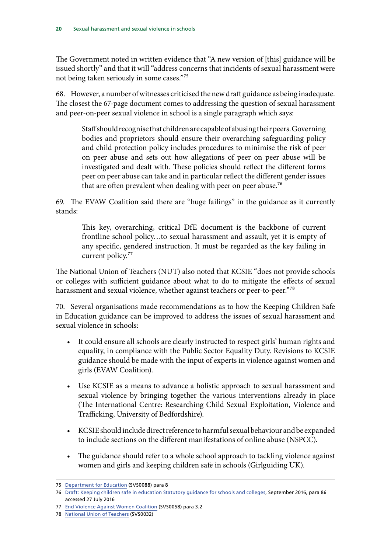The Government noted in written evidence that "A new version of [this] guidance will be issued shortly" and that it will "address concerns that incidents of sexual harassment were not being taken seriously in some cases."75

68. However, a number of witnesses criticised the new draft guidance as being inadequate. The closest the 67-page document comes to addressing the question of sexual harassment and peer-on-peer sexual violence in school is a single paragraph which says:

Staff should recognise that children are capable of abusing their peers. Governing bodies and proprietors should ensure their overarching safeguarding policy and child protection policy includes procedures to minimise the risk of peer on peer abuse and sets out how allegations of peer on peer abuse will be investigated and dealt with. These policies should reflect the different forms peer on peer abuse can take and in particular reflect the different gender issues that are often prevalent when dealing with peer on peer abuse.<sup>76</sup>

69. The EVAW Coalition said there are "huge failings" in the guidance as it currently stands:

This key, overarching, critical DfE document is the backbone of current frontline school policy…to sexual harassment and assault, yet it is empty of any specific, gendered instruction. It must be regarded as the key failing in current policy.<sup>77</sup>

The National Union of Teachers (NUT) also noted that KCSIE "does not provide schools or colleges with sufficient guidance about what to do to mitigate the effects of sexual harassment and sexual violence, whether against teachers or peer-to-peer."78

70. Several organisations made recommendations as to how the Keeping Children Safe in Education guidance can be improved to address the issues of sexual harassment and sexual violence in schools:

- • It could ensure all schools are clearly instructed to respect girls' human rights and equality, in compliance with the Public Sector Equality Duty. Revisions to KCSIE guidance should be made with the input of experts in violence against women and girls (EVAW Coalition).
- Use KCSIE as a means to advance a holistic approach to sexual harassment and sexual violence by bringing together the various interventions already in place (The International Centre: Researching Child Sexual Exploitation, Violence and Trafficking, University of Bedfordshire).
- KCSIE should include direct reference to harmful sexual behaviour and be expanded to include sections on the different manifestations of online abuse (NSPCC).
- The guidance should refer to a whole school approach to tackling violence against women and girls and keeping children safe in schools (Girlguiding UK).

<sup>75</sup> [Department for Education](http://data.parliament.uk/writtenevidence/committeeevidence.svc/evidencedocument/women-and-equalities-committee/sexual-harassment-and-sexual-violence-in-schools/written/34062.html) (SVS0088) para 8

<sup>76</sup> [Draft: Keeping children safe in education Statutory guidance for schools and colleges](https://www.gov.uk/government/uploads/system/uploads/attachment_data/file/487799/Keeping_children_safe_in_education_draft_statutory_guidance.pdf), September 2016, para 86 accessed 27 July 2016

<sup>77</sup> [End Violence Against Women Coalition](http://data.parliament.uk/writtenevidence/committeeevidence.svc/evidencedocument/women-and-equalities-committee/sexual-harassment-and-sexual-violence-in-schools/written/33527.html) (SVS0058) para 3.2

<sup>78</sup> [National Union of Teachers](http://data.parliament.uk/writtenevidence/committeeevidence.svc/evidencedocument/women-and-equalities-committee/sexual-harassment-and-sexual-violence-in-schools/written/33418.html) (SVS0032)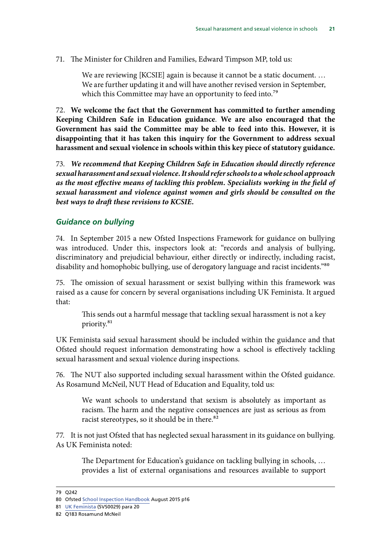#### <span id="page-22-0"></span>71. The Minister for Children and Families, Edward Timpson MP, told us:

We are reviewing [KCSIE] again is because it cannot be a static document. … We are further updating it and will have another revised version in September, which this Committee may have an opportunity to feed into.<sup>79</sup>

72. **We welcome the fact that the Government has committed to further amending Keeping Children Safe in Education guidance**. **We are also encouraged that the Government has said the Committee may be able to feed into this. However, it is disappointing that it has taken this inquiry for the Government to address sexual harassment and sexual violence in schools within this key piece of statutory guidance.** 

73. *We recommend that Keeping Children Safe in Education should directly reference sexual harassment and sexual violence. It should refer schools to a whole school approach as the most effective means of tackling this problem. Specialists working in the field of sexual harassment and violence against women and girls should be consulted on the best ways to draft these revisions to KCSIE.* 

#### *Guidance on bullying*

74. In September 2015 a new Ofsted Inspections Framework for guidance on bullying was introduced. Under this, inspectors look at: "records and analysis of bullying, discriminatory and prejudicial behaviour, either directly or indirectly, including racist, disability and homophobic bullying, use of derogatory language and racist incidents."<sup>80</sup>

75. The omission of sexual harassment or sexist bullying within this framework was raised as a cause for concern by several organisations including UK Feminista. It argued that:

This sends out a harmful message that tackling sexual harassment is not a key priority.81

UK Feminista said sexual harassment should be included within the guidance and that Ofsted should request information demonstrating how a school is effectively tackling sexual harassment and sexual violence during inspections.

76. The NUT also supported including sexual harassment within the Ofsted guidance. As Rosamund McNeil, NUT Head of Education and Equality, told us:

We want schools to understand that sexism is absolutely as important as racism. The harm and the negative consequences are just as serious as from racist stereotypes, so it should be in there.<sup>82</sup>

77. It is not just Ofsted that has neglected sexual harassment in its guidance on bullying. As UK Feminista noted:

The Department for Education's guidance on tackling bullying in schools, … provides a list of external organisations and resources available to support

<sup>79</sup> Q242

<sup>80</sup> Ofsted [School Inspection Handbook](https://www.gov.uk/government/publications/school-inspection-handbook-from-september-2015) August 2015 p16

<sup>81</sup> [UK Feminista](http://data.parliament.uk/writtenevidence/committeeevidence.svc/evidencedocument/women-and-equalities-committee/sexual-harassment-and-sexual-violence-in-schools/written/33401.html) (SVS0029) para 20

<sup>82</sup> Q183 Rosamund McNeil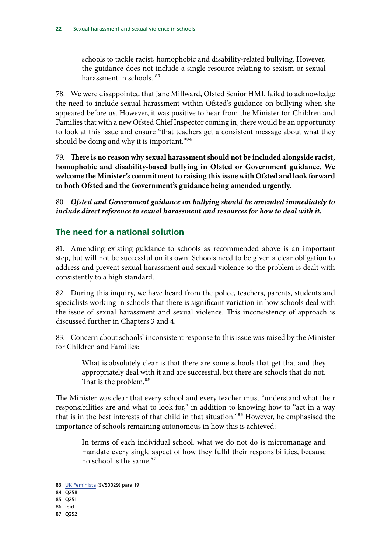<span id="page-23-0"></span>schools to tackle racist, homophobic and disability-related bullying. However, the guidance does not include a single resource relating to sexism or sexual harassment in schools  $83$ 

78. We were disappointed that Jane Millward, Ofsted Senior HMI, failed to acknowledge the need to include sexual harassment within Ofsted's guidance on bullying when she appeared before us. However, it was positive to hear from the Minister for Children and Families that with a new Ofsted Chief Inspector coming in, there would be an opportunity to look at this issue and ensure "that teachers get a consistent message about what they should be doing and why it is important."<sup>84</sup>

79. **There is no reason why sexual harassment should not be included alongside racist, homophobic and disability-based bullying in Ofsted or Government guidance. We welcome the Minister's commitment to raising this issue with Ofsted and look forward to both Ofsted and the Government's guidance being amended urgently.** 

80. *Ofsted and Government guidance on bullying should be amended immediately to*  include direct reference to sexual harassment and resources for how to deal with it.

#### **The need for a national solution**

81. Amending existing guidance to schools as recommended above is an important step, but will not be successful on its own. Schools need to be given a clear obligation to address and prevent sexual harassment and sexual violence so the problem is dealt with consistently to a high standard.

82. During this inquiry, we have heard from the police, teachers, parents, students and specialists working in schools that there is significant variation in how schools deal with the issue of sexual harassment and sexual violence. This inconsistency of approach is discussed further in Chapters 3 and 4.

83. Concern about schools' inconsistent response to this issue was raised by the Minister for Children and Families:

What is absolutely clear is that there are some schools that get that and they appropriately deal with it and are successful, but there are schools that do not. That is the problem.<sup>85</sup>

The Minister was clear that every school and every teacher must "understand what their responsibilities are and what to look for," in addition to knowing how to "act in a way that is in the best interests of that child in that situation."86 However, he emphasised the importance of schools remaining autonomous in how this is achieved:

In terms of each individual school, what we do not do is micromanage and mandate every single aspect of how they fulfil their responsibilities, because no school is the same.<sup>87</sup>

- 86 ibid
- 87 Q252

<sup>83</sup> [UK Feminista](http://data.parliament.uk/writtenevidence/committeeevidence.svc/evidencedocument/women-and-equalities-committee/sexual-harassment-and-sexual-violence-in-schools/written/33401.html) (SVS0029) para 19

<sup>84 0258</sup> 

<sup>85</sup> Q251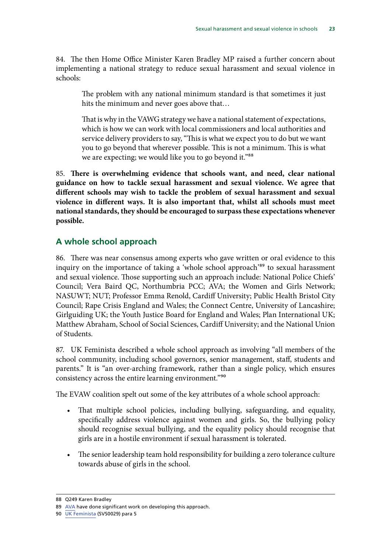<span id="page-24-0"></span>84. The then Home Office Minister Karen Bradley MP raised a further concern about implementing a national strategy to reduce sexual harassment and sexual violence in schools:

The problem with any national minimum standard is that sometimes it just hits the minimum and never goes above that…

That is why in the VAWG strategy we have a national statement of expectations, which is how we can work with local commissioners and local authorities and service delivery providers to say, "This is what we expect you to do but we want you to go beyond that wherever possible. This is not a minimum. This is what we are expecting; we would like you to go beyond it."<sup>88</sup>

85. **There is overwhelming evidence that schools want, and need, clear national guidance on how to tackle sexual harassment and sexual violence. We agree that different schools may wish to tackle the problem of sexual harassment and sexual violence in different ways. It is also important that, whilst all schools must meet national standards, they should be encouraged to surpass these expectations whenever possible.** 

#### **A whole school approach**

86. There was near consensus among experts who gave written or oral evidence to this inquiry on the importance of taking a 'whole school approach'<sup>89</sup> to sexual harassment and sexual violence. Those supporting such an approach include: National Police Chiefs' Council; Vera Baird QC, Northumbria PCC; AVA; the Women and Girls Network; NASUWT; NUT; Professor Emma Renold, Cardiff University; Public Health Bristol City Council; Rape Crisis England and Wales; the Connect Centre, University of Lancashire; Girlguiding UK; the Youth Justice Board for England and Wales; Plan International UK; Matthew Abraham, School of Social Sciences, Cardiff University; and the National Union of Students.

87. UK Feminista described a whole school approach as involving "all members of the school community, including school governors, senior management, staff, students and parents." It is "an over-arching framework, rather than a single policy, which ensures consistency across the entire learning environment."90

The EVAW coalition spelt out some of the key attributes of a whole school approach:

- That multiple school policies, including bullying, safeguarding, and equality, specifically address violence against women and girls. So, the bullying policy should recognise sexual bullying, and the equality policy should recognise that girls are in a hostile environment if sexual harassment is tolerated.
- The senior leadership team hold responsibility for building a zero tolerance culture towards abuse of girls in the school.

<sup>88</sup> Q249 Karen Bradley

<sup>89</sup> [AVA](http://avaproject.org.uk/ava-services-2/children-young-people/whole-schools-approach/) have done significant work on developing this approach.

<sup>90</sup> [UK Feminista](http://data.parliament.uk/writtenevidence/committeeevidence.svc/evidencedocument/women-and-equalities-committee/sexual-harassment-and-sexual-violence-in-schools/written/33401.html) (SVS0029) para 5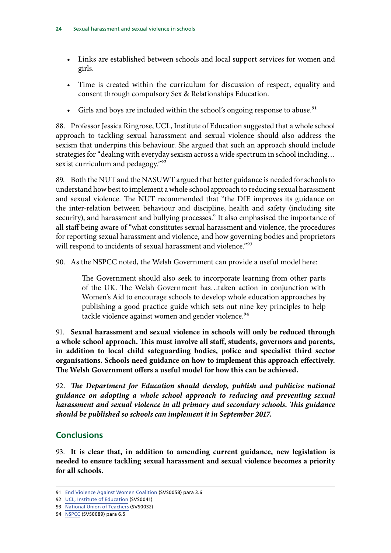- <span id="page-25-0"></span>• Links are established between schools and local support services for women and girls.
- Time is created within the curriculum for discussion of respect, equality and consent through compulsory Sex & Relationships Education.
- Girls and boys are included within the school's ongoing response to abuse.<sup>91</sup>

88. Professor Jessica Ringrose, UCL, Institute of Education suggested that a whole school approach to tackling sexual harassment and sexual violence should also address the sexism that underpins this behaviour. She argued that such an approach should include strategies for "dealing with everyday sexism across a wide spectrum in school including… sexist curriculum and pedagogy."<sup>92</sup>

89. Both the NUT and the NASUWT argued that better guidance is needed for schools to understand how best to implement a whole school approach to reducing sexual harassment and sexual violence. The NUT recommended that "the DfE improves its guidance on the inter-relation between behaviour and discipline, health and safety (including site security), and harassment and bullying processes." It also emphasised the importance of all staff being aware of "what constitutes sexual harassment and violence, the procedures for reporting sexual harassment and violence, and how governing bodies and proprietors will respond to incidents of sexual harassment and violence."<sup>93</sup>

90. As the NSPCC noted, the Welsh Government can provide a useful model here:

The Government should also seek to incorporate learning from other parts of the UK. The Welsh Government has…taken action in conjunction with Women's Aid to encourage schools to develop whole education approaches by publishing a good practice guide which sets out nine key principles to help tackle violence against women and gender violence.<sup>94</sup>

91. **Sexual harassment and sexual violence in schools will only be reduced through a whole school approach. This must involve all staff, students, governors and parents, in addition to local child safeguarding bodies, police and specialist third sector organisations. Schools need guidance on how to implement this approach effectively. The Welsh Government offers a useful model for how this can be achieved.** 

92. *The Department for Education should develop, publish and publicise national guidance on adopting a whole school approach to reducing and preventing sexual harassment and sexual violence in all primary and secondary schools. This guidance should be published so schools can implement it in September 2017.* 

#### **Conclusions**

93. **It is clear that, in addition to amending current guidance, new legislation is needed to ensure tackling sexual harassment and sexual violence becomes a priority for all schools.** 

<sup>91</sup> [End Violence Against Women Coalition](http://data.parliament.uk/writtenevidence/committeeevidence.svc/evidencedocument/women-and-equalities-committee/sexual-harassment-and-sexual-violence-in-schools/written/33527.html) (SVS0058) para 3.6

<sup>92</sup> [UCL, Institute of Education](http://data.parliament.uk/writtenevidence/committeeevidence.svc/evidencedocument/women-and-equalities-committee/sexual-harassment-and-sexual-violence-in-schools/written/33478.html) (SVS0041)

<sup>93</sup> [National Union of Teachers](http://data.parliament.uk/writtenevidence/committeeevidence.svc/evidencedocument/women-and-equalities-committee/sexual-harassment-and-sexual-violence-in-schools/written/33418.html) (SVS0032)

<sup>94</sup> [NSPCC](http://data.parliament.uk/writtenevidence/committeeevidence.svc/evidencedocument/women-and-equalities-committee/sexual-harassment-and-sexual-violence-in-schools/written/34063.html) (SVS0089) para 6.5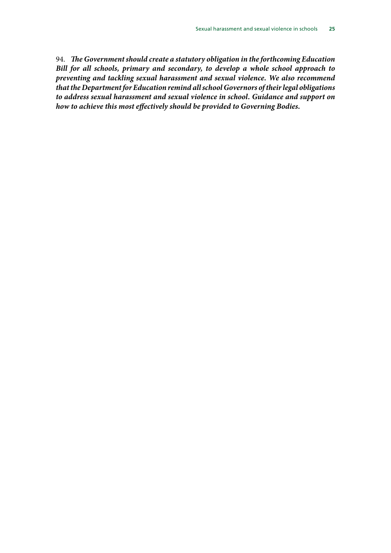94. *The Government should create a statutory obligation in the forthcoming Education Bill for all schools, primary and secondary, to develop a whole school approach to preventing and tackling sexual harassment and sexual violence. We also recommend that the Department for Education remind all school Governors of their legal obligations to address sexual harassment and sexual violence in school. Guidance and support on how to achieve this most effectively should be provided to Governing Bodies.*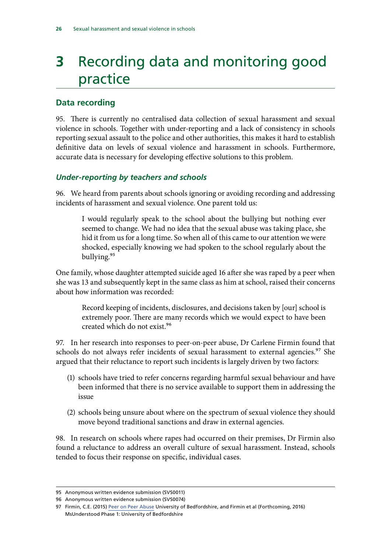## <span id="page-27-0"></span>**3** Recording data and monitoring good practice

#### **Data recording**

95. There is currently no centralised data collection of sexual harassment and sexual violence in schools. Together with under-reporting and a lack of consistency in schools reporting sexual assault to the police and other authorities, this makes it hard to establish definitive data on levels of sexual violence and harassment in schools. Furthermore, accurate data is necessary for developing effective solutions to this problem.

#### *Under-reporting by teachers and schools*

96. We heard from parents about schools ignoring or avoiding recording and addressing incidents of harassment and sexual violence. One parent told us:

I would regularly speak to the school about the bullying but nothing ever seemed to change. We had no idea that the sexual abuse was taking place, she hid it from us for a long time. So when all of this came to our attention we were shocked, especially knowing we had spoken to the school regularly about the bullying.95

One family, whose daughter attempted suicide aged 16 after she was raped by a peer when she was 13 and subsequently kept in the same class as him at school, raised their concerns about how information was recorded:

Record keeping of incidents, disclosures, and decisions taken by [our] school is extremely poor. There are many records which we would expect to have been created which do not exist.96

97. In her research into responses to peer-on-peer abuse, Dr Carlene Firmin found that schools do not always refer incidents of sexual harassment to external agencies.<sup>97</sup> She argued that their reluctance to report such incidents is largely driven by two factors:

- (1) schools have tried to refer concerns regarding harmful sexual behaviour and have been informed that there is no service available to support them in addressing the issue
- (2) schools being unsure about where on the spectrum of sexual violence they should move beyond traditional sanctions and draw in external agencies.

98. In research on schools where rapes had occurred on their premises, Dr Firmin also found a reluctance to address an overall culture of sexual harassment. Instead, schools tended to focus their response on specific, individual cases.

<sup>95</sup> Anonymous written evidence submission (SVS0011)

<sup>96</sup> Anonymous written evidence submission (SVS0074)

<sup>97</sup> Firmin, C.E. (2015) [Peer on Peer Abuse](http://uobrep.openrepository.com/uobrep/handle/10547/565790) University of Bedfordshire, and Firmin et al (Forthcoming, 2016) MsUnderstood Phase 1: University of Bedfordshire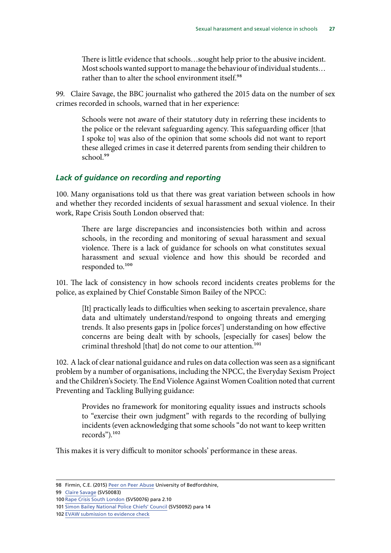<span id="page-28-0"></span>There is little evidence that schools…sought help prior to the abusive incident. Most schools wanted support to manage the behaviour of individual students… rather than to alter the school environment itself.<sup>98</sup>

99. Claire Savage, the BBC journalist who gathered the 2015 data on the number of sex crimes recorded in schools, warned that in her experience:

Schools were not aware of their statutory duty in referring these incidents to the police or the relevant safeguarding agency. This safeguarding officer [that I spoke to] was also of the opinion that some schools did not want to report these alleged crimes in case it deterred parents from sending their children to school.<sup>99</sup>

#### *Lack of guidance on recording and reporting*

100. Many organisations told us that there was great variation between schools in how and whether they recorded incidents of sexual harassment and sexual violence. In their work, Rape Crisis South London observed that:

There are large discrepancies and inconsistencies both within and across schools, in the recording and monitoring of sexual harassment and sexual violence. There is a lack of guidance for schools on what constitutes sexual harassment and sexual violence and how this should be recorded and responded to.<sup>100</sup>

101. The lack of consistency in how schools record incidents creates problems for the police, as explained by Chief Constable Simon Bailey of the NPCC:

[It] practically leads to difficulties when seeking to ascertain prevalence, share data and ultimately understand/respond to ongoing threats and emerging trends. It also presents gaps in [police forces'] understanding on how effective concerns are being dealt with by schools, [especially for cases] below the criminal threshold [that] do not come to our attention.<sup>101</sup>

102. A lack of clear national guidance and rules on data collection was seen as a significant problem by a number of organisations, including the NPCC, the Everyday Sexism Project and the Children's Society. The End Violence Against Women Coalition noted that current Preventing and Tackling Bullying guidance:

Provides no framework for monitoring equality issues and instructs schools to "exercise their own judgment" with regards to the recording of bullying incidents (even acknowledging that some schools "do not want to keep written records").102

This makes it is very difficult to monitor schools' performance in these areas.

<sup>98</sup> Firmin, C.E. (2015) [Peer on Peer Abuse](http://uobrep.openrepository.com/uobrep/handle/10547/565790) University of Bedfordshire,

<sup>99</sup> [Claire Savage](http://data.parliament.uk/writtenevidence/committeeevidence.svc/evidencedocument/women-and-equalities-committee/sexual-harassment-and-sexual-violence-in-schools/written/33954.pdf) (SVS0083)

<sup>100</sup> [Rape Crisis South London](http://data.parliament.uk/writtenevidence/committeeevidence.svc/evidencedocument/women-and-equalities-committee/sexual-harassment-and-sexual-violence-in-schools/written/33578.pdf) (SVS0076) para 2.10

<sup>101</sup> [Simon Bailey National Police Chiefs' Council](http://data.parliament.uk/writtenevidence/committeeevidence.svc/evidencedocument/women-and-equalities-committee/sexual-harassment-and-sexual-violence-in-schools/written/34261.html) (SVS0092) para 14

<sup>102</sup> [EVAW submission to evidence check](http://www.parliament.uk/business/committees/committees-a-z/commons-select/women-and-equalities-committee/dfe-evidence-check-forum/scale-of-the-problem/)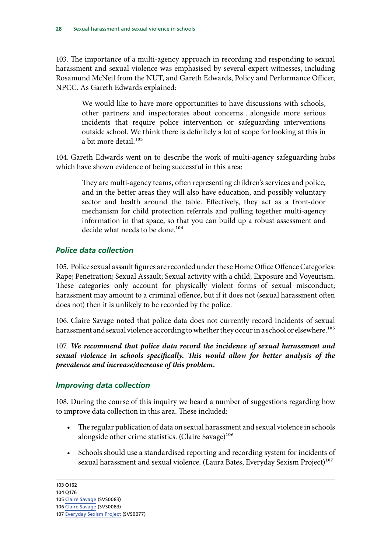<span id="page-29-0"></span>103. The importance of a multi-agency approach in recording and responding to sexual harassment and sexual violence was emphasised by several expert witnesses, including Rosamund McNeil from the NUT, and Gareth Edwards, Policy and Performance Officer, NPCC. As Gareth Edwards explained:

We would like to have more opportunities to have discussions with schools, other partners and inspectorates about concerns…alongside more serious incidents that require police intervention or safeguarding interventions outside school. We think there is definitely a lot of scope for looking at this in a bit more detail.<sup>103</sup>

104. Gareth Edwards went on to describe the work of multi-agency safeguarding hubs which have shown evidence of being successful in this area:

They are multi-agency teams, often representing children's services and police, and in the better areas they will also have education, and possibly voluntary sector and health around the table. Effectively, they act as a front-door mechanism for child protection referrals and pulling together multi-agency information in that space, so that you can build up a robust assessment and decide what needs to be done.<sup>104</sup>

#### *Police data collection*

105. Police sexual assault figures are recorded under these Home Office Offence Categories: Rape; Penetration; Sexual Assault; Sexual activity with a child; Exposure and Voyeurism. These categories only account for physically violent forms of sexual misconduct; harassment may amount to a criminal offence, but if it does not (sexual harassment often does not) then it is unlikely to be recorded by the police.

106. Claire Savage noted that police data does not currently record incidents of sexual harassment and sexual violence according to whether they occur in a school or elsewhere.<sup>105</sup>

107. *We recommend that police data record the incidence of sexual harassment and sexual violence in schools specifically. This would allow for better analysis of the prevalence and increase/decrease of this problem.* 

#### *Improving data collection*

108. During the course of this inquiry we heard a number of suggestions regarding how to improve data collection in this area. These included:

- The regular publication of data on sexual harassment and sexual violence in schools alongside other crime statistics. (Claire Savage)<sup>106</sup>
- • Schools should use a standardised reporting and recording system for incidents of sexual harassment and sexual violence. (Laura Bates, Everyday Sexism Project)<sup>107</sup>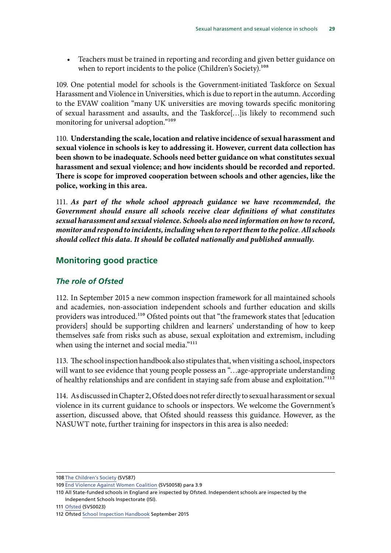<span id="page-30-0"></span>• Teachers must be trained in reporting and recording and given better guidance on when to report incidents to the police (Children's Society).<sup>108</sup>

109. One potential model for schools is the Government-initiated Taskforce on Sexual Harassment and Violence in Universities, which is due to report in the autumn. According to the EVAW coalition "many UK universities are moving towards specific monitoring of sexual harassment and assaults, and the Taskforce[…]is likely to recommend such monitoring for universal adoption."<sup>109</sup>

110. **Understanding the scale, location and relative incidence of sexual harassment and sexual violence in schools is key to addressing it. However, current data collection has been shown to be inadequate. Schools need better guidance on what constitutes sexual harassment and sexual violence; and how incidents should be recorded and reported. There is scope for improved cooperation between schools and other agencies, like the police, working in this area.** 

 *Government should ensure all schools receive clear definitions of what constitutes*  111. *As part of the whole school approach guidance we have recommended, the sexual harassment and sexual violence. Schools also need information on how to record, monitor and respond to incidents, including when to report them to the police*. *All schools should collect this data. It should be collated nationally and published annually.* 

#### **Monitoring good practice**

#### *The role of Ofsted*

112. In September 2015 a new common inspection framework for all maintained schools and academies, non-association independent schools and further education and skills providers was introduced.<sup>110</sup> Ofsted points out that "the framework states that [education providers] should be supporting children and learners' understanding of how to keep themselves safe from risks such as abuse, sexual exploitation and extremism, including when using the internet and social media."<sup>111</sup>

113. The school inspection handbook also stipulates that, when visiting a school, inspectors will want to see evidence that young people possess an "…age-appropriate understanding of healthy relationships and are confident in staying safe from abuse and exploitation."112

114. As discussed in Chapter 2, Ofsted does not refer directly to sexual harassment or sexual violence in its current guidance to schools or inspectors. We welcome the Government's assertion, discussed above, that Ofsted should reassess this guidance. However, as the NASUWT note, further training for inspectors in this area is also needed:

<sup>108</sup> [The Children's Society](http://data.parliament.uk/writtenevidence/committeeevidence.svc/evidencedocument/women-and-equalities-committee/sexual-harassment-and-sexual-violence-in-schools/written/34061.html) (SVS87)

<sup>109</sup> [End Violence Against Women Coalition](http://data.parliament.uk/writtenevidence/committeeevidence.svc/evidencedocument/women-and-equalities-committee/sexual-harassment-and-sexual-violence-in-schools/written/33527.html) (SVS0058) para 3.9

<sup>110</sup> All State-funded schools in England are inspected by Ofsted. Independent schools are inspected by the Independent Schools Inspectorate (ISI).

<sup>111</sup> [Ofsted](http://data.parliament.uk/writtenevidence/committeeevidence.svc/evidencedocument/women-and-equalities-committee/sexual-harassment-and-sexual-violence-in-schools/written/33349.html) (SVS0023)

<sup>112</sup> Ofsted [School Inspection Handbook](https://www.gov.uk/government/uploads/system/uploads/attachment_data/file/458866/School_inspection_handbook_section_5_from_September_2015.pdf) September 2015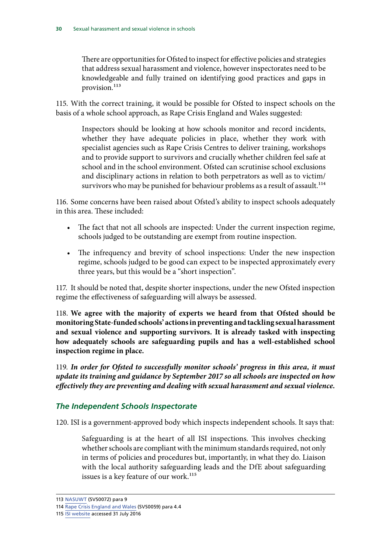<span id="page-31-0"></span>There are opportunities for Ofsted to inspect for effective policies and strategies that address sexual harassment and violence, however inspectorates need to be knowledgeable and fully trained on identifying good practices and gaps in provision.<sup>113</sup>

115. With the correct training, it would be possible for Ofsted to inspect schools on the basis of a whole school approach, as Rape Crisis England and Wales suggested:

Inspectors should be looking at how schools monitor and record incidents, whether they have adequate policies in place, whether they work with specialist agencies such as Rape Crisis Centres to deliver training, workshops and to provide support to survivors and crucially whether children feel safe at school and in the school environment. Ofsted can scrutinise school exclusions and disciplinary actions in relation to both perpetrators as well as to victim/ survivors who may be punished for behaviour problems as a result of assault.<sup>114</sup>

116. Some concerns have been raised about Ofsted's ability to inspect schools adequately in this area. These included:

- The fact that not all schools are inspected: Under the current inspection regime, schools judged to be outstanding are exempt from routine inspection.
- The infrequency and brevity of school inspections: Under the new inspection regime, schools judged to be good can expect to be inspected approximately every three years, but this would be a "short inspection".

117. It should be noted that, despite shorter inspections, under the new Ofsted inspection regime the effectiveness of safeguarding will always be assessed.

118. **We agree with the majority of experts we heard from that Ofsted should be monitoring State-funded schools' actions in preventing and tackling sexual harassment and sexual violence and supporting survivors. It is already tasked with inspecting how adequately schools are safeguarding pupils and has a well-established school inspection regime in place.** 

119. *In order for Ofsted to successfully monitor schools' progress in this area, it must update its training and guidance by September 2017 so all schools are inspected on how effectively they are preventing and dealing with sexual harassment and sexual violence.* 

#### *The Independent Schools Inspectorate*

120. ISI is a government-approved body which inspects independent schools. It says that:

Safeguarding is at the heart of all ISI inspections. This involves checking whether schools are compliant with the minimum standards required, not only in terms of policies and procedures but, importantly, in what they do. Liaison with the local authority safeguarding leads and the DfE about safeguarding issues is a key feature of our work.<sup>115</sup>

<sup>113</sup> [NASUWT](http://data.parliament.uk/writtenevidence/committeeevidence.svc/evidencedocument/women-and-equalities-committee/sexual-harassment-and-sexual-violence-in-schools/written/33571.pdf) (SVS0072) para 9

<sup>114</sup> [Rape Crisis England and Wales](http://data.parliament.uk/writtenevidence/committeeevidence.svc/evidencedocument/women-and-equalities-committee/sexual-harassment-and-sexual-violence-in-schools/written/33534.pdf) (SVS0059) para 4.4

<sup>115</sup> **ISI** website accessed 31 July 2016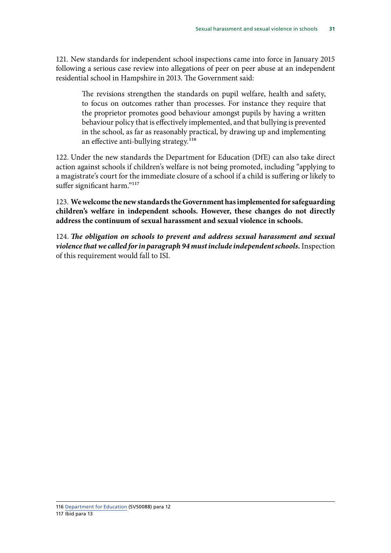121. New standards for independent school inspections came into force in January 2015 following a serious case review into allegations of peer on peer abuse at an independent residential school in Hampshire in 2013. The Government said:

The revisions strengthen the standards on pupil welfare, health and safety, to focus on outcomes rather than processes. For instance they require that the proprietor promotes good behaviour amongst pupils by having a written behaviour policy that is effectively implemented, and that bullying is prevented in the school, as far as reasonably practical, by drawing up and implementing an effective anti-bullying strategy.<sup>116</sup>

122. Under the new standards the Department for Education (DfE) can also take direct action against schools if children's welfare is not being promoted, including "applying to a magistrate's court for the immediate closure of a school if a child is suffering or likely to suffer significant harm."<sup>117</sup>

123. **We welcome the new standards the Government has implemented for safeguarding children's welfare in independent schools. However, these changes do not directly address the continuum of sexual harassment and sexual violence in schools.** 

124. *The obligation on schools to prevent and address sexual harassment and sexual violence that we called for in paragraph 94 must include independent schools.* Inspection of this requirement would fall to ISI.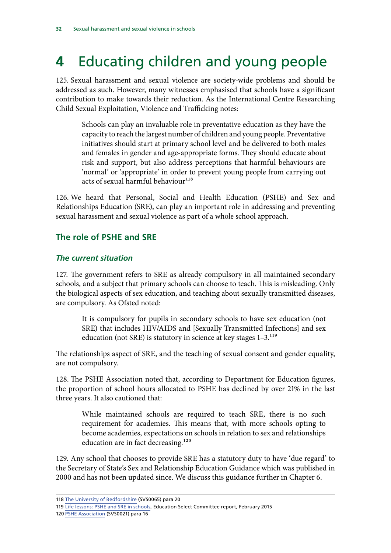## <span id="page-33-0"></span>**4** Educating children and young people

125. Sexual harassment and sexual violence are society-wide problems and should be addressed as such. However, many witnesses emphasised that schools have a significant contribution to make towards their reduction. As the International Centre Researching Child Sexual Exploitation, Violence and Trafficking notes:

Schools can play an invaluable role in preventative education as they have the capacity to reach the largest number of children and young people. Preventative initiatives should start at primary school level and be delivered to both males and females in gender and age-appropriate forms. They should educate about risk and support, but also address perceptions that harmful behaviours are 'normal' or 'appropriate' in order to prevent young people from carrying out acts of sexual harmful behaviour<sup>118</sup>

126. We heard that Personal, Social and Health Education (PSHE) and Sex and Relationships Education (SRE), can play an important role in addressing and preventing sexual harassment and sexual violence as part of a whole school approach.

#### **The role of PSHE and SRE**

#### *The current situation*

127. The government refers to SRE as already compulsory in all maintained secondary schools, and a subject that primary schools can choose to teach. This is misleading. Only the biological aspects of sex education, and teaching about sexually transmitted diseases, are compulsory. As Ofsted noted:

It is compulsory for pupils in secondary schools to have sex education (not SRE) that includes HIV/AIDS and [Sexually Transmitted Infections] and sex education (not SRE) is statutory in science at key stages  $1-3$ .<sup>119</sup>

The relationships aspect of SRE, and the teaching of sexual consent and gender equality, are not compulsory.

128. The PSHE Association noted that, according to Department for Education figures, the proportion of school hours allocated to PSHE has declined by over 21% in the last three years. It also cautioned that:

While maintained schools are required to teach SRE, there is no such requirement for academies. This means that, with more schools opting to become academies, expectations on schools in relation to sex and relationships education are in fact decreasing.<sup>120</sup>

129. Any school that chooses to provide SRE has a statutory duty to have 'due regard' to the Secretary of State's Sex and Relationship Education Guidance which was published in 2000 and has not been updated since. We discuss this guidance further in Chapter 6.

<sup>118</sup> [The University of Bedfordshire](http://data.parliament.uk/writtenevidence/committeeevidence.svc/evidencedocument/women-and-equalities-committee/sexual-harassment-and-sexual-violence-in-schools/written/33552.html) (SVS0065) para 20

<sup>119</sup> [Life lessons: PSHE and SRE in schools](http://www.publications.parliament.uk/pa/cm201415/cmselect/cmeduc/145/14509.htm), Education Select Committee report, February 2015

<sup>120</sup> [PSHE Association](http://data.parliament.uk/writtenevidence/committeeevidence.svc/evidencedocument/women-and-equalities-committee/sexual-harassment-and-sexual-violence-in-schools/written/33331.html) (SVS0021) para 16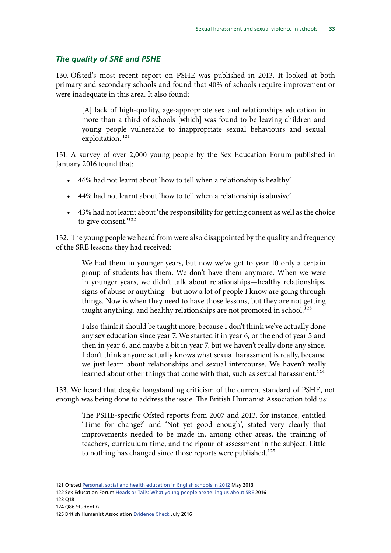#### <span id="page-34-0"></span>*The quality of SRE and PSHE*

130. Ofsted's most recent report on PSHE was published in 2013. It looked at both primary and secondary schools and found that 40% of schools require improvement or were inadequate in this area. It also found:

[A] lack of high-quality, age-appropriate sex and relationships education in more than a third of schools [which] was found to be leaving children and young people vulnerable to inappropriate sexual behaviours and sexual exploitation.<sup>121</sup>

131. A survey of over 2,000 young people by the Sex Education Forum published in January 2016 found that:

- 46% had not learnt about 'how to tell when a relationship is healthy'
- • 44% had not learnt about 'how to tell when a relationship is abusive'
- • 43% had not learnt about 'the responsibility for getting consent as well as the choice to give consent.'<sup>122</sup>

132. The young people we heard from were also disappointed by the quality and frequency of the SRE lessons they had received:

We had them in younger years, but now we've got to year 10 only a certain group of students has them. We don't have them anymore. When we were in younger years, we didn't talk about relationships—healthy relationships, signs of abuse or anything—but now a lot of people I know are going through things. Now is when they need to have those lessons, but they are not getting taught anything, and healthy relationships are not promoted in school.<sup>123</sup>

I also think it should be taught more, because I don't think we've actually done any sex education since year 7. We started it in year 6, or the end of year 5 and then in year 6, and maybe a bit in year 7, but we haven't really done any since. I don't think anyone actually knows what sexual harassment is really, because we just learn about relationships and sexual intercourse. We haven't really learned about other things that come with that, such as sexual harassment.<sup>124</sup>

133. We heard that despite longstanding criticism of the current standard of PSHE, not enough was being done to address the issue. The British Humanist Association told us:

The PSHE-specific Ofsted reports from 2007 and 2013, for instance, entitled 'Time for change?' and 'Not yet good enough', stated very clearly that improvements needed to be made in, among other areas, the training of teachers, curriculum time, and the rigour of assessment in the subject. Little to nothing has changed since those reports were published.<sup>125</sup>

121 Ofsted [Personal, social and health education in English schools in 2012](https://www.gov.uk/government/uploads/system/uploads/attachment_data/file/413178/Not_yet_good_enough_personal__social__health_and_economic_education_in_schools.pdf) May 2013

<sup>122</sup> Sex Education Forum [Heads or Tails: What young people are telling us about SRE](http://www.sexeducationforum.org.uk/media/34250/Head-or-tails-SRE-2016.pdf) 2016

<sup>123</sup> Q18

<sup>124</sup> Q86 Student G

<sup>125</sup> British Humanist Association [Evidence Check](http://www.parliament.uk/business/committees/committees-a-z/commons-select/women-and-equalities-committee/dfe-evidence-check-forum/curriculum-and-personal-social-health-and-economic-education/) July 2016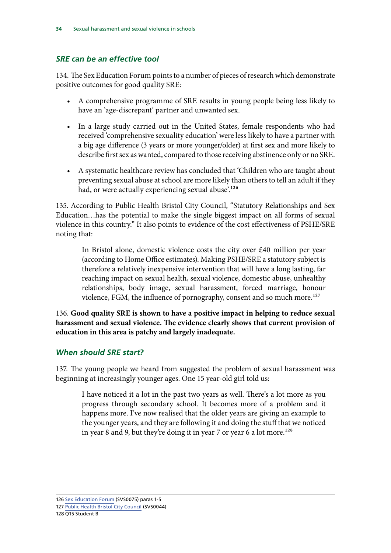#### <span id="page-35-0"></span>*SRE can be an effective tool*

134. The Sex Education Forum points to a number of pieces of research which demonstrate positive outcomes for good quality SRE:

- A comprehensive programme of SRE results in young people being less likely to have an 'age-discrepant' partner and unwanted sex.
- In a large study carried out in the United States, female respondents who had received 'comprehensive sexuality education' were less likely to have a partner with a big age difference (3 years or more younger/older) at first sex and more likely to describe first sex as wanted, compared to those receiving abstinence only or no SRE.
- A systematic healthcare review has concluded that 'Children who are taught about preventing sexual abuse at school are more likely than others to tell an adult if they had, or were actually experiencing sexual abuse'.<sup>126</sup>

135. According to Public Health Bristol City Council, "Statutory Relationships and Sex Education…has the potential to make the single biggest impact on all forms of sexual violence in this country." It also points to evidence of the cost effectiveness of PSHE/SRE noting that:

In Bristol alone, domestic violence costs the city over £40 million per year (according to Home Office estimates). Making PSHE/SRE a statutory subject is therefore a relatively inexpensive intervention that will have a long lasting, far reaching impact on sexual health, sexual violence, domestic abuse, unhealthy relationships, body image, sexual harassment, forced marriage, honour violence, FGM, the influence of pornography, consent and so much more.<sup>127</sup>

136. **Good quality SRE is shown to have a positive impact in helping to reduce sexual harassment and sexual violence. The evidence clearly shows that current provision of education in this area is patchy and largely inadequate.** 

#### *When should SRE start?*

137. The young people we heard from suggested the problem of sexual harassment was beginning at increasingly younger ages. One 15 year-old girl told us:

I have noticed it a lot in the past two years as well. There's a lot more as you progress through secondary school. It becomes more of a problem and it happens more. I've now realised that the older years are giving an example to the younger years, and they are following it and doing the stuff that we noticed in year 8 and 9, but they're doing it in year 7 or year 6 a lot more.<sup>128</sup>

126 [Sex Education Forum](http://data.parliament.uk/writtenevidence/committeeevidence.svc/evidencedocument/women-and-equalities-committee/sexual-harassment-and-sexual-violence-in-schools/written/33577.html) (SVS0075) paras 1-5

128 Q15 Student B

<sup>127</sup> [Public Health Bristol City Council](http://data.parliament.uk/writtenevidence/committeeevidence.svc/evidencedocument/women-and-equalities-committee/sexual-harassment-and-sexual-violence-in-schools/written/33485.html) (SVS0044)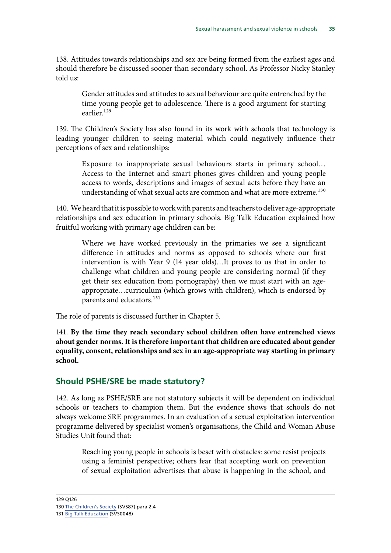<span id="page-36-0"></span>138. Attitudes towards relationships and sex are being formed from the earliest ages and should therefore be discussed sooner than secondary school. As Professor Nicky Stanley told us:

Gender attitudes and attitudes to sexual behaviour are quite entrenched by the time young people get to adolescence. There is a good argument for starting earlier<sup>129</sup>

139. The Children's Society has also found in its work with schools that technology is leading younger children to seeing material which could negatively influence their perceptions of sex and relationships:

Exposure to inappropriate sexual behaviours starts in primary school… Access to the Internet and smart phones gives children and young people access to words, descriptions and images of sexual acts before they have an understanding of what sexual acts are common and what are more extreme.<sup>130</sup>

140. We heard that it is possible to work with parents and teachers to deliver age-appropriate relationships and sex education in primary schools. Big Talk Education explained how fruitful working with primary age children can be:

Where we have worked previously in the primaries we see a significant difference in attitudes and norms as opposed to schools where our first intervention is with Year 9 (14 year olds)…It proves to us that in order to challenge what children and young people are considering normal (if they get their sex education from pornography) then we must start with an ageappropriate…curriculum (which grows with children), which is endorsed by parents and educators.<sup>131</sup>

The role of parents is discussed further in Chapter 5.

141. **By the time they reach secondary school children often have entrenched views about gender norms. It is therefore important that children are educated about gender equality, consent, relationships and sex in an age-appropriate way starting in primary school.** 

#### **Should PSHE/SRE be made statutory?**

142. As long as PSHE/SRE are not statutory subjects it will be dependent on individual schools or teachers to champion them. But the evidence shows that schools do not always welcome SRE programmes. In an evaluation of a sexual exploitation intervention programme delivered by specialist women's organisations, the Child and Woman Abuse Studies Unit found that:

Reaching young people in schools is beset with obstacles: some resist projects using a feminist perspective; others fear that accepting work on prevention of sexual exploitation advertises that abuse is happening in the school, and

129 Q126

<sup>130</sup> [The Children's Society](http://data.parliament.uk/writtenevidence/committeeevidence.svc/evidencedocument/women-and-equalities-committee/sexual-harassment-and-sexual-violence-in-schools/written/34061.html) (SVS87) para 2.4

<sup>131</sup> [Big Talk Education](http://data.parliament.uk/writtenevidence/committeeevidence.svc/evidencedocument/women-and-equalities-committee/sexual-harassment-and-sexual-violence-in-schools/written/33503.html) (SVS0048)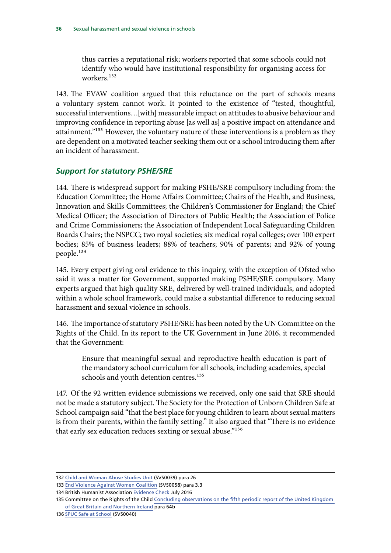<span id="page-37-0"></span>thus carries a reputational risk; workers reported that some schools could not identify who would have institutional responsibility for organising access for workers<sup>132</sup>

143. The EVAW coalition argued that this reluctance on the part of schools means a voluntary system cannot work. It pointed to the existence of "tested, thoughtful, successful interventions…[with] measurable impact on attitudes to abusive behaviour and improving confidence in reporting abuse [as well as] a positive impact on attendance and attainment."133 However, the voluntary nature of these interventions is a problem as they are dependent on a motivated teacher seeking them out or a school introducing them after an incident of harassment.

#### *Support for statutory PSHE/SRE*

144. There is widespread support for making PSHE/SRE compulsory including from: the Education Committee; the Home Affairs Committee; Chairs of the Health, and Business, Innovation and Skills Committees; the Children's Commissioner for England; the Chief Medical Officer; the Association of Directors of Public Health; the Association of Police and Crime Commissioners; the Association of Independent Local Safeguarding Children Boards Chairs; the NSPCC; two royal societies; six medical royal colleges; over 100 expert bodies; 85% of business leaders; 88% of teachers; 90% of parents; and 92% of young people.134

145. Every expert giving oral evidence to this inquiry, with the exception of Ofsted who said it was a matter for Government, supported making PSHE/SRE compulsory. Many experts argued that high quality SRE, delivered by well-trained individuals, and adopted within a whole school framework, could make a substantial difference to reducing sexual harassment and sexual violence in schools.

146. The importance of statutory PSHE/SRE has been noted by the UN Committee on the Rights of the Child. In its report to the UK Government in June 2016, it recommended that the Government:

Ensure that meaningful sexual and reproductive health education is part of the mandatory school curriculum for all schools, including academies, special schools and youth detention centres.<sup>135</sup>

147. Of the 92 written evidence submissions we received, only one said that SRE should not be made a statutory subject. The Society for the Protection of Unborn Children Safe at School campaign said "that the best place for young children to learn about sexual matters is from their parents, within the family setting." It also argued that "There is no evidence that early sex education reduces sexting or sexual abuse."136

<sup>132</sup> [Child and Woman Abuse Studies Unit](http://data.parliament.uk/writtenevidence/committeeevidence.svc/evidencedocument/women-and-equalities-committee/sexual-harassment-and-sexual-violence-in-schools/written/33476.html) (SVS0039) para 26

<sup>133</sup> [End Violence Against Women Coalition](http://data.parliament.uk/writtenevidence/committeeevidence.svc/evidencedocument/women-and-equalities-committee/sexual-harassment-and-sexual-violence-in-schools/written/33527.html) (SVS0058) para 3.3

<sup>134</sup> British Humanist Association [Evidence Check](http://www.parliament.uk/business/committees/committees-a-z/commons-select/women-and-equalities-committee/dfe-evidence-check-forum/curriculum-and-personal-social-health-and-economic-education/) July 2016

<sup>135</sup> Committee on the Rights of the Child Concluding observations on the fifth periodic report of the United Kingdom [of Great Britain and Northern Ireland](http://tbinternet.ohchr.org/_layouts/treatybodyexternal/Download.aspx?symbolno=CRC%2fC%2fGBR%2fCO%2f5&Lang=en) para 64b

<sup>136</sup> [SPUC Safe at School](http://data.parliament.uk/writtenevidence/committeeevidence.svc/evidencedocument/women-and-equalities-committee/sexual-harassment-and-sexual-violence-in-schools/written/33477.html) (SVS0040)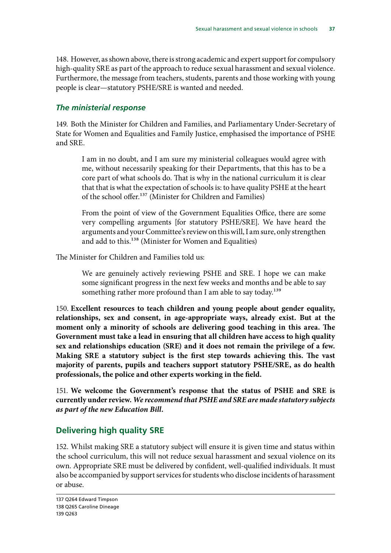<span id="page-38-0"></span>148. However, as shown above, there is strong academic and expert support for compulsory high-quality SRE as part of the approach to reduce sexual harassment and sexual violence. Furthermore, the message from teachers, students, parents and those working with young people is clear—statutory PSHE/SRE is wanted and needed.

#### *The ministerial response*

149. Both the Minister for Children and Families, and Parliamentary Under-Secretary of State for Women and Equalities and Family Justice, emphasised the importance of PSHE and SRE.

I am in no doubt, and I am sure my ministerial colleagues would agree with me, without necessarily speaking for their Departments, that this has to be a core part of what schools do. That is why in the national curriculum it is clear that that is what the expectation of schools is: to have quality PSHE at the heart of the school offer.<sup>137</sup> (Minister for Children and Families)

From the point of view of the Government Equalities Office, there are some very compelling arguments [for statutory PSHE/SRE]. We have heard the arguments and your Committee's review on this will, I am sure, only strengthen and add to this.<sup>138</sup> (Minister for Women and Equalities)

The Minister for Children and Families told us:

We are genuinely actively reviewing PSHE and SRE. I hope we can make some significant progress in the next few weeks and months and be able to say something rather more profound than I am able to say today.<sup>139</sup>

150. **Excellent resources to teach children and young people about gender equality, relationships, sex and consent, in age-appropriate ways, already exist. But at the moment only a minority of schools are delivering good teaching in this area. The Government must take a lead in ensuring that all children have access to high quality sex and relationships education (SRE) and it does not remain the privilege of a few. Making SRE a statutory subject is the first step towards achieving this. The vast majority of parents, pupils and teachers support statutory PSHE/SRE, as do health professionals, the police and other experts working in the field.** 

151. **We welcome the Government's response that the status of PSHE and SRE is currently under review.** *We recommend that PSHE and SRE are made statutory subjects as part of the new Education Bill.* 

#### **Delivering high quality SRE**

152. Whilst making SRE a statutory subject will ensure it is given time and status within the school curriculum, this will not reduce sexual harassment and sexual violence on its own. Appropriate SRE must be delivered by confident, well-qualified individuals. It must also be accompanied by support services for students who disclose incidents of harassment or abuse.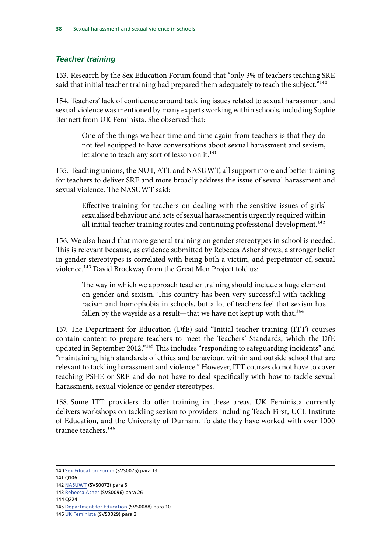#### <span id="page-39-0"></span>*Teacher training*

153. Research by the Sex Education Forum found that "only 3% of teachers teaching SRE said that initial teacher training had prepared them adequately to teach the subject."<sup>140</sup>

154. Teachers' lack of confidence around tackling issues related to sexual harassment and sexual violence was mentioned by many experts working within schools, including Sophie Bennett from UK Feminista. She observed that:

One of the things we hear time and time again from teachers is that they do not feel equipped to have conversations about sexual harassment and sexism, let alone to teach any sort of lesson on it.<sup>141</sup>

155. Teaching unions, the NUT, ATL and NASUWT, all support more and better training for teachers to deliver SRE and more broadly address the issue of sexual harassment and sexual violence. The NASUWT said:

Effective training for teachers on dealing with the sensitive issues of girls' sexualised behaviour and acts of sexual harassment is urgently required within all initial teacher training routes and continuing professional development.<sup>142</sup>

156. We also heard that more general training on gender stereotypes in school is needed. This is relevant because, as evidence submitted by Rebecca Asher shows, a stronger belief in gender stereotypes is correlated with being both a victim, and perpetrator of, sexual violence.<sup>143</sup> David Brockway from the Great Men Project told us:

The way in which we approach teacher training should include a huge element on gender and sexism. This country has been very successful with tackling racism and homophobia in schools, but a lot of teachers feel that sexism has fallen by the wayside as a result—that we have not kept up with that.<sup>144</sup>

157. The Department for Education (DfE) said "Initial teacher training (ITT) courses contain content to prepare teachers to meet the Teachers' Standards, which the DfE updated in September 2012."145 This includes "responding to safeguarding incidents" and "maintaining high standards of ethics and behaviour, within and outside school that are relevant to tackling harassment and violence." However, ITT courses do not have to cover teaching PSHE or SRE and do not have to deal specifically with how to tackle sexual harassment, sexual violence or gender stereotypes.

158. Some ITT providers do offer training in these areas. UK Feminista currently delivers workshops on tackling sexism to providers including Teach First, UCL Institute of Education, and the University of Durham. To date they have worked with over 1000 trainee teachers<sup>146</sup>

144 Q224

<sup>140</sup> [Sex Education Forum](http://data.parliament.uk/writtenevidence/committeeevidence.svc/evidencedocument/women-and-equalities-committee/sexual-harassment-and-sexual-violence-in-schools/written/33577.html) (SVS0075) para 13

<sup>141</sup> Q106

<sup>142</sup> [NASUWT](http://data.parliament.uk/writtenevidence/committeeevidence.svc/evidencedocument/women-and-equalities-committee/sexual-harassment-and-sexual-violence-in-schools/written/33571.pdf) (SVS0072) para 6

<sup>143</sup> [Rebecca Asher](http://data.parliament.uk/writtenevidence/committeeevidence.svc/evidencedocument/women-and-equalities-committee/sexual-harassment-and-sexual-violence-in-schools/written/34535.html) (SVS0096) para 26

<sup>145</sup> [Department for Education](http://data.parliament.uk/writtenevidence/committeeevidence.svc/evidencedocument/women-and-equalities-committee/sexual-harassment-and-sexual-violence-in-schools/written/34062.html) (SVS0088) para 10

<sup>146</sup> [UK Feminista](http://data.parliament.uk/writtenevidence/committeeevidence.svc/evidencedocument/women-and-equalities-committee/sexual-harassment-and-sexual-violence-in-schools/written/33401.html) (SVS0029) para 3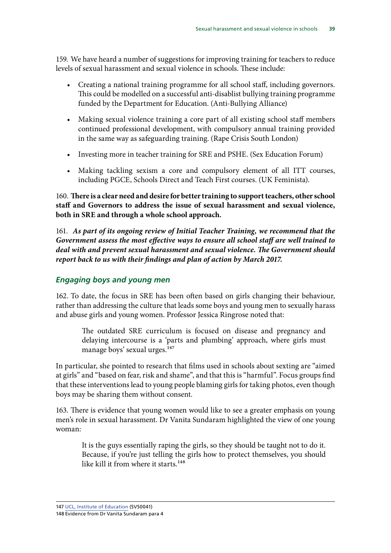<span id="page-40-0"></span>159. We have heard a number of suggestions for improving training for teachers to reduce levels of sexual harassment and sexual violence in schools. These include:

- Creating a national training programme for all school staff, including governors. This could be modelled on a successful anti-disablist bullying training programme funded by the Department for Education. (Anti-Bullying Alliance)
- Making sexual violence training a core part of all existing school staff members continued professional development, with compulsory annual training provided in the same way as safeguarding training. (Rape Crisis South London)
- Investing more in teacher training for SRE and PSHE. (Sex Education Forum)
- Making tackling sexism a core and compulsory element of all ITT courses, including PGCE, Schools Direct and Teach First courses. (UK Feminista).

160. **There is a clear need and desire for better training to support teachers, other school staff and Governors to address the issue of sexual harassment and sexual violence, both in SRE and through a whole school approach.** 

161. *As part of its ongoing review of Initial Teacher Training, we recommend that the Government assess the most effective ways to ensure all school staff are well trained to deal with and prevent sexual harassment and sexual violence. The Government should report back to us with their findings and plan of action by March 2017.* 

#### *Engaging boys and young men*

162. To date, the focus in SRE has been often based on girls changing their behaviour, rather than addressing the culture that leads some boys and young men to sexually harass and abuse girls and young women. Professor Jessica Ringrose noted that:

The outdated SRE curriculum is focused on disease and pregnancy and delaying intercourse is a 'parts and plumbing' approach, where girls must manage boys' sexual urges.<sup>147</sup>

In particular, she pointed to research that films used in schools about sexting are "aimed at girls" and "based on fear, risk and shame", and that this is "harmful". Focus groups find that these interventions lead to young people blaming girls for taking photos, even though boys may be sharing them without consent.

163. There is evidence that young women would like to see a greater emphasis on young men's role in sexual harassment. Dr Vanita Sundaram highlighted the view of one young woman:

It is the guys essentially raping the girls, so they should be taught not to do it. Because, if you're just telling the girls how to protect themselves, you should like kill it from where it starts.<sup>148</sup>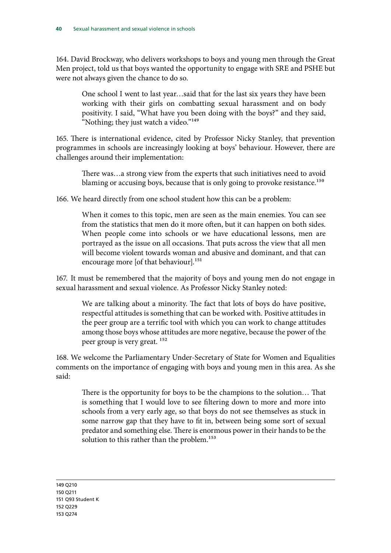164. David Brockway, who delivers workshops to boys and young men through the Great Men project, told us that boys wanted the opportunity to engage with SRE and PSHE but were not always given the chance to do so.

One school I went to last year…said that for the last six years they have been working with their girls on combatting sexual harassment and on body positivity. I said, "What have you been doing with the boys?" and they said, "Nothing; they just watch a video."<sup>149</sup>

165. There is international evidence, cited by Professor Nicky Stanley, that prevention programmes in schools are increasingly looking at boys' behaviour. However, there are challenges around their implementation:

There was…a strong view from the experts that such initiatives need to avoid blaming or accusing boys, because that is only going to provoke resistance.<sup>150</sup>

166. We heard directly from one school student how this can be a problem:

When it comes to this topic, men are seen as the main enemies. You can see from the statistics that men do it more often, but it can happen on both sides. When people come into schools or we have educational lessons, men are portrayed as the issue on all occasions. That puts across the view that all men will become violent towards woman and abusive and dominant, and that can encourage more [of that behaviour].<sup>151</sup>

167. It must be remembered that the majority of boys and young men do not engage in sexual harassment and sexual violence. As Professor Nicky Stanley noted:

We are talking about a minority. The fact that lots of boys do have positive, respectful attitudes is something that can be worked with. Positive attitudes in the peer group are a terrific tool with which you can work to change attitudes among those boys whose attitudes are more negative, because the power of the peer group is very great. 152

168. We welcome the Parliamentary Under-Secretary of State for Women and Equalities comments on the importance of engaging with boys and young men in this area. As she said:

There is the opportunity for boys to be the champions to the solution… That is something that I would love to see filtering down to more and more into schools from a very early age, so that boys do not see themselves as stuck in some narrow gap that they have to fit in, between being some sort of sexual predator and something else. There is enormous power in their hands to be the solution to this rather than the problem.<sup>153</sup>

149 Q210 150 Q211 151 Q93 Student K 152 Q229 153 Q274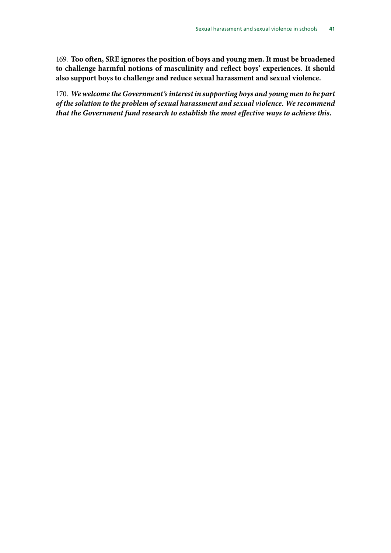169. **Too often, SRE ignores the position of boys and young men. It must be broadened to challenge harmful notions of masculinity and reflect boys' experiences. It should also support boys to challenge and reduce sexual harassment and sexual violence.** 

170. *We welcome the Government's interest in supporting boys and young men to be part of the solution to the problem of sexual harassment and sexual violence. We recommend that the Government fund research to establish the most effective ways to achieve this.*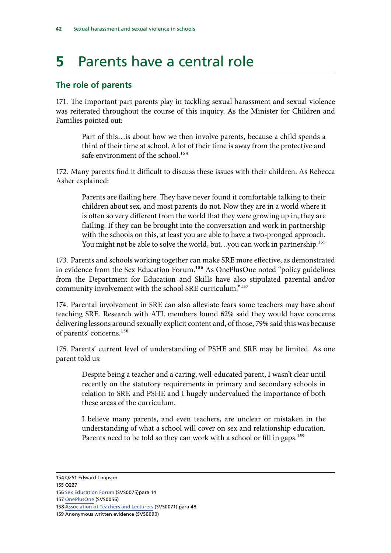### <span id="page-43-0"></span>**5** Parents have a central role

#### **The role of parents**

171. The important part parents play in tackling sexual harassment and sexual violence was reiterated throughout the course of this inquiry. As the Minister for Children and Families pointed out:

Part of this…is about how we then involve parents, because a child spends a third of their time at school. A lot of their time is away from the protective and safe environment of the school.<sup>154</sup>

172. Many parents find it difficult to discuss these issues with their children. As Rebecca Asher explained:

Parents are flailing here. They have never found it comfortable talking to their children about sex, and most parents do not. Now they are in a world where it is often so very different from the world that they were growing up in, they are flailing. If they can be brought into the conversation and work in partnership with the schools on this, at least you are able to have a two-pronged approach. You might not be able to solve the world, but...you can work in partnership.<sup>155</sup>

173. Parents and schools working together can make SRE more effective, as demonstrated in evidence from the Sex Education Forum.<sup>156</sup> As OnePlusOne noted "policy guidelines from the Department for Education and Skills have also stipulated parental and/or community involvement with the school SRE curriculum."157

174. Parental involvement in SRE can also alleviate fears some teachers may have about teaching SRE. Research with ATL members found 62% said they would have concerns delivering lessons around sexually explicit content and, of those, 79% said this was because of parents' concerns.158

175. Parents' current level of understanding of PSHE and SRE may be limited. As one parent told us:

Despite being a teacher and a caring, well-educated parent, I wasn't clear until recently on the statutory requirements in primary and secondary schools in relation to SRE and PSHE and I hugely undervalued the importance of both these areas of the curriculum.

I believe many parents, and even teachers, are unclear or mistaken in the understanding of what a school will cover on sex and relationship education. Parents need to be told so they can work with a school or fill in gaps.<sup>159</sup>

155 Q227

159 Anonymous written evidence (SVS0090)

<sup>154</sup> Q251 Edward Timpson

<sup>156</sup> [Sex Education Forum](http://data.parliament.uk/writtenevidence/committeeevidence.svc/evidencedocument/women-and-equalities-committee/sexual-harassment-and-sexual-violence-in-schools/written/33577.html) (SVS0075)para 14

<sup>157</sup> [OnePlusOne](http://data.parliament.uk/writtenevidence/committeeevidence.svc/evidencedocument/women-and-equalities-committee/sexual-harassment-and-sexual-violence-in-schools/written/33524.html) (SVS0056)

<sup>158</sup> [Association of Teachers and Lecturers](http://data.parliament.uk/writtenevidence/committeeevidence.svc/evidencedocument/women-and-equalities-committee/sexual-harassment-and-sexual-violence-in-schools/written/33569.html) (SVS0071) para 48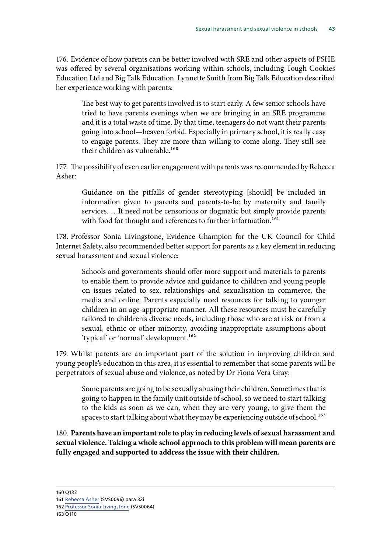176. Evidence of how parents can be better involved with SRE and other aspects of PSHE was offered by several organisations working within schools, including Tough Cookies Education Ltd and Big Talk Education. Lynnette Smith from Big Talk Education described her experience working with parents:

The best way to get parents involved is to start early. A few senior schools have tried to have parents evenings when we are bringing in an SRE programme and it is a total waste of time. By that time, teenagers do not want their parents going into school—heaven forbid. Especially in primary school, it is really easy to engage parents. They are more than willing to come along. They still see their children as vulnerable.<sup>160</sup>

177. The possibility of even earlier engagement with parents was recommended by Rebecca Asher:

Guidance on the pitfalls of gender stereotyping [should] be included in information given to parents and parents-to-be by maternity and family services. …It need not be censorious or dogmatic but simply provide parents with food for thought and references to further information.<sup>161</sup>

178. Professor Sonia Livingstone, Evidence Champion for the UK Council for Child Internet Safety, also recommended better support for parents as a key element in reducing sexual harassment and sexual violence:

Schools and governments should offer more support and materials to parents to enable them to provide advice and guidance to children and young people on issues related to sex, relationships and sexualisation in commerce, the media and online. Parents especially need resources for talking to younger children in an age-appropriate manner. All these resources must be carefully tailored to children's diverse needs, including those who are at risk or from a sexual, ethnic or other minority, avoiding inappropriate assumptions about 'typical' or 'normal' development.<sup>162</sup>

179. Whilst parents are an important part of the solution in improving children and young people's education in this area, it is essential to remember that some parents will be perpetrators of sexual abuse and violence, as noted by Dr Fiona Vera Gray:

Some parents are going to be sexually abusing their children. Sometimes that is going to happen in the family unit outside of school, so we need to start talking to the kids as soon as we can, when they are very young, to give them the spaces to start talking about what they may be experiencing outside of school.<sup>163</sup>

180. **Parents have an important role to play in reducing levels of sexual harassment and sexual violence. Taking a whole school approach to this problem will mean parents are fully engaged and supported to address the issue with their children.** 

<sup>161</sup> [Rebecca Asher](http://data.parliament.uk/writtenevidence/committeeevidence.svc/evidencedocument/women-and-equalities-committee/sexual-harassment-and-sexual-violence-in-schools/written/34535.html) (SVS0096) para 32i

<sup>162</sup> [Professor Sonia Livingstone](http://data.parliament.uk/writtenevidence/committeeevidence.svc/evidencedocument/women-and-equalities-committee/sexual-harassment-and-sexual-violence-in-schools/written/33550.html) (SVS0064)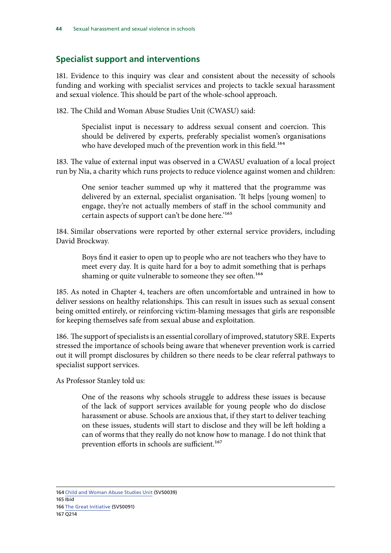#### <span id="page-45-0"></span>**Specialist support and interventions**

181. Evidence to this inquiry was clear and consistent about the necessity of schools funding and working with specialist services and projects to tackle sexual harassment and sexual violence. This should be part of the whole-school approach.

182. The Child and Woman Abuse Studies Unit (CWASU) said:

Specialist input is necessary to address sexual consent and coercion. This should be delivered by experts, preferably specialist women's organisations who have developed much of the prevention work in this field.<sup>164</sup>

183. The value of external input was observed in a CWASU evaluation of a local project run by Nia, a charity which runs projects to reduce violence against women and children:

One senior teacher summed up why it mattered that the programme was delivered by an external, specialist organisation. 'It helps [young women] to engage, they're not actually members of staff in the school community and certain aspects of support can't be done here.'<sup>165</sup>

184. Similar observations were reported by other external service providers, including David Brockway.

Boys find it easier to open up to people who are not teachers who they have to meet every day. It is quite hard for a boy to admit something that is perhaps shaming or quite vulnerable to someone they see often.<sup>166</sup>

185. As noted in Chapter 4, teachers are often uncomfortable and untrained in how to deliver sessions on healthy relationships. This can result in issues such as sexual consent being omitted entirely, or reinforcing victim-blaming messages that girls are responsible for keeping themselves safe from sexual abuse and exploitation.

186. The support of specialists is an essential corollary of improved, statutory SRE. Experts stressed the importance of schools being aware that whenever prevention work is carried out it will prompt disclosures by children so there needs to be clear referral pathways to specialist support services.

As Professor Stanley told us:

One of the reasons why schools struggle to address these issues is because of the lack of support services available for young people who do disclose harassment or abuse. Schools are anxious that, if they start to deliver teaching on these issues, students will start to disclose and they will be left holding a can of worms that they really do not know how to manage. I do not think that prevention efforts in schools are sufficient.<sup>167</sup>

164 [Child and Woman Abuse Studies Unit](http://data.parliament.uk/writtenevidence/committeeevidence.svc/evidencedocument/women-and-equalities-committee/sexual-harassment-and-sexual-violence-in-schools/written/33476.html) (SVS0039) 165 Ibid 166 [The Great Initiative](http://data.parliament.uk/writtenevidence/committeeevidence.svc/evidencedocument/women-and-equalities-committee/sexual-harassment-and-sexual-violence-in-schools/written/34257.html) (SVS0091) 167 Q214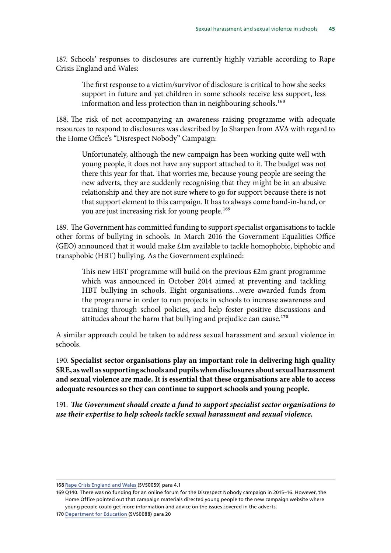187. Schools' responses to disclosures are currently highly variable according to Rape Crisis England and Wales:

The first response to a victim/survivor of disclosure is critical to how she seeks support in future and yet children in some schools receive less support, less information and less protection than in neighbouring schools.<sup>168</sup>

188. The risk of not accompanying an awareness raising programme with adequate resources to respond to disclosures was described by Jo Sharpen from AVA with regard to the Home Office's "Disrespect Nobody" Campaign:

Unfortunately, although the new campaign has been working quite well with young people, it does not have any support attached to it. The budget was not there this year for that. That worries me, because young people are seeing the new adverts, they are suddenly recognising that they might be in an abusive relationship and they are not sure where to go for support because there is not that support element to this campaign. It has to always come hand-in-hand, or you are just increasing risk for young people.<sup>169</sup>

189. The Government has committed funding to support specialist organisations to tackle other forms of bullying in schools. In March 2016 the Government Equalities Office (GEO) announced that it would make £1m available to tackle homophobic, biphobic and transphobic (HBT) bullying. As the Government explained:

This new HBT programme will build on the previous £2m grant programme which was announced in October 2014 aimed at preventing and tackling HBT bullying in schools. Eight organisations…were awarded funds from the programme in order to run projects in schools to increase awareness and training through school policies, and help foster positive discussions and attitudes about the harm that bullying and prejudice can cause.<sup>170</sup>

A similar approach could be taken to address sexual harassment and sexual violence in schools.

190. **Specialist sector organisations play an important role in delivering high quality SRE, as well as supporting schools and pupils when disclosures about sexual harassment and sexual violence are made. It is essential that these organisations are able to access adequate resources so they can continue to support schools and young people.** 

191. *The Government should create a fund to support specialist sector organisations to use their expertise to help schools tackle sexual harassment and sexual violence.* 

<sup>168</sup> [Rape Crisis England and Wales](http://data.parliament.uk/writtenevidence/committeeevidence.svc/evidencedocument/women-and-equalities-committee/sexual-harassment-and-sexual-violence-in-schools/written/33534.pdf) (SVS0059) para 4.1

<sup>169</sup> Q140. There was no funding for an online forum for the Disrespect Nobody campaign in 2015–16. However, the Home Office pointed out that campaign materials directed young people to the new campaign website where young people could get more information and advice on the issues covered in the adverts.

<sup>170</sup> [Department for Education](http://data.parliament.uk/writtenevidence/committeeevidence.svc/evidencedocument/women-and-equalities-committee/sexual-harassment-and-sexual-violence-in-schools/written/34062.html) (SVS0088) para 20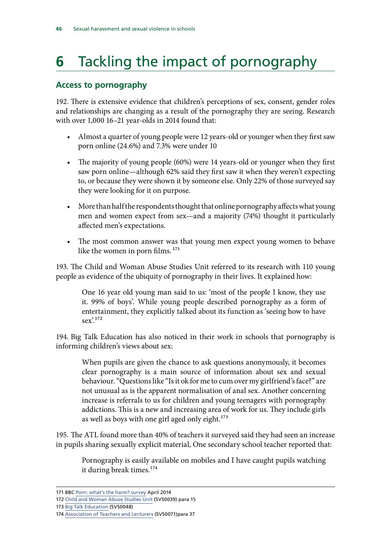## <span id="page-47-0"></span>**6** Tackling the impact of pornography

#### **Access to pornography**

192. There is extensive evidence that children's perceptions of sex, consent, gender roles and relationships are changing as a result of the pornography they are seeing. Research with over 1,000 16–21 year-olds in 2014 found that:

- Almost a quarter of young people were 12 years-old or younger when they first saw porn online (24.6%) and 7.3% were under 10
- The majority of young people (60%) were 14 years-old or younger when they first saw porn online—although 62% said they first saw it when they weren't expecting to, or because they were shown it by someone else. Only 22% of those surveyed say they were looking for it on purpose.
- More than half the respondents thought that online pornography affects what young men and women expect from sex—and a majority (74%) thought it particularly affected men's expectations.
- The most common answer was that young men expect young women to behave like the women in porn films.<sup>171</sup>

193. The Child and Woman Abuse Studies Unit referred to its research with 110 young people as evidence of the ubiquity of pornography in their lives. It explained how:

One 16 year old young man said to us: 'most of the people I know, they use it. 99% of boys'. While young people described pornography as a form of entertainment, they explicitly talked about its function as 'seeing how to have sex'.172

194. Big Talk Education has also noticed in their work in schools that pornography is informing children's views about sex:

When pupils are given the chance to ask questions anonymously, it becomes clear pornography is a main source of information about sex and sexual behaviour. "Questions like "Is it ok for me to cum over my girlfriend's face?" are not unusual as is the apparent normalisation of anal sex. Another concerning increase is referrals to us for children and young teenagers with pornography addictions. This is a new and increasing area of work for us. They include girls as well as boys with one girl aged only eight.<sup>173</sup>

195. The ATL found more than 40% of teachers it surveyed said they had seen an increase in pupils sharing sexually explicit material, One secondary school teacher reported that:

Pornography is easily available on mobiles and I have caught pupils watching it during break times.<sup>174</sup>

<sup>171</sup> BBC [Porn: what's the harm? survey](http://www.bbc.co.uk/mediacentre/latestnews/2014/porn-whats-the-harm) April 2014

<sup>172</sup> [Child and Woman Abuse Studies Unit](http://data.parliament.uk/writtenevidence/committeeevidence.svc/evidencedocument/women-and-equalities-committee/sexual-harassment-and-sexual-violence-in-schools/written/33476.html) (SVS0039) para 15

<sup>173</sup> [Big Talk Education](http://data.parliament.uk/writtenevidence/committeeevidence.svc/evidencedocument/women-and-equalities-committee/sexual-harassment-and-sexual-violence-in-schools/written/33503.html) (SVS0048)

<sup>174</sup> [Association of Teachers and Lecturers](http://data.parliament.uk/writtenevidence/committeeevidence.svc/evidencedocument/women-and-equalities-committee/sexual-harassment-and-sexual-violence-in-schools/written/33569.html) (SVS0071)para 37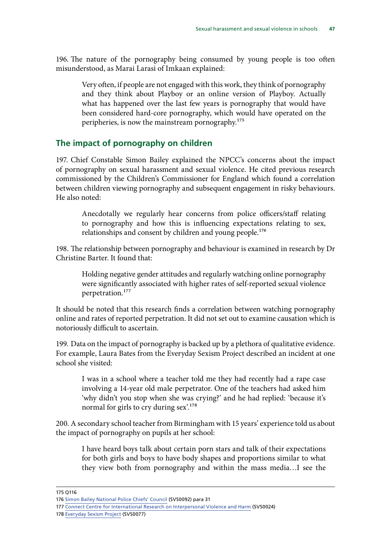<span id="page-48-0"></span>196. The nature of the pornography being consumed by young people is too often misunderstood, as Marai Larasi of Imkaan explained:

Very often, if people are not engaged with this work, they think of pornography and they think about Playboy or an online version of Playboy. Actually what has happened over the last few years is pornography that would have been considered hard-core pornography, which would have operated on the peripheries, is now the mainstream pornography.<sup>175</sup>

#### **The impact of pornography on children**

197. Chief Constable Simon Bailey explained the NPCC's concerns about the impact of pornography on sexual harassment and sexual violence. He cited previous research commissioned by the Children's Commissioner for England which found a correlation between children viewing pornography and subsequent engagement in risky behaviours. He also noted:

Anecdotally we regularly hear concerns from police officers/staff relating to pornography and how this is influencing expectations relating to sex, relationships and consent by children and young people.<sup>176</sup>

198. The relationship between pornography and behaviour is examined in research by Dr Christine Barter. It found that:

Holding negative gender attitudes and regularly watching online pornography were significantly associated with higher rates of self-reported sexual violence perpetration.177

It should be noted that this research finds a correlation between watching pornography online and rates of reported perpetration. It did not set out to examine causation which is notoriously difficult to ascertain.

199. Data on the impact of pornography is backed up by a plethora of qualitative evidence. For example, Laura Bates from the Everyday Sexism Project described an incident at one school she visited:

I was in a school where a teacher told me they had recently had a rape case involving a 14-year old male perpetrator. One of the teachers had asked him 'why didn't you stop when she was crying?' and he had replied: 'because it's normal for girls to cry during sex'.<sup>178</sup>

200. A secondary school teacher from Birmingham with 15 years' experience told us about the impact of pornography on pupils at her school:

I have heard boys talk about certain porn stars and talk of their expectations for both girls and boys to have body shapes and proportions similar to what they view both from pornography and within the mass media…I see the

178 [Everyday Sexism Project](http://data.parliament.uk/writtenevidence/committeeevidence.svc/evidencedocument/women-and-equalities-committee/sexual-harassment-and-sexual-violence-in-schools/written/33579.html) (SVS0077)

<sup>175</sup> Q116

<sup>176</sup> [Simon Bailey National Police Chiefs' Council](http://data.parliament.uk/writtenevidence/committeeevidence.svc/evidencedocument/women-and-equalities-committee/sexual-harassment-and-sexual-violence-in-schools/written/34261.html) (SVS0092) para 31

<sup>177</sup> [Connect Centre for International Research on Interpersonal Violence and Harm](http://data.parliament.uk/writtenevidence/committeeevidence.svc/evidencedocument/women-and-equalities-committee/sexual-harassment-and-sexual-violence-in-schools/written/33352.html) (SVS0024)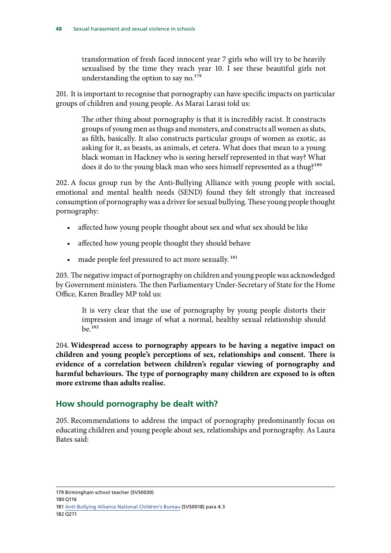<span id="page-49-0"></span>transformation of fresh faced innocent year 7 girls who will try to be heavily sexualised by the time they reach year 10. I see these beautiful girls not understanding the option to say no.<sup>179</sup>

201. It is important to recognise that pornography can have specific impacts on particular groups of children and young people. As Marai Larasi told us:

The other thing about pornography is that it is incredibly racist. It constructs groups of young men as thugs and monsters, and constructs all women as sluts, as filth, basically. It also constructs particular groups of women as exotic, as asking for it, as beasts, as animals, et cetera. What does that mean to a young black woman in Hackney who is seeing herself represented in that way? What does it do to the young black man who sees himself represented as a thug?<sup>180</sup>

202. A focus group run by the Anti-Bullying Alliance with young people with social, emotional and mental health needs (SEND) found they felt strongly that increased consumption of pornography was a driver for sexual bullying. These young people thought pornography:

- affected how young people thought about sex and what sex should be like
- affected how young people thought they should behave
- made people feel pressured to act more sexually.<sup>181</sup>

203. The negative impact of pornography on children and young people was acknowledged by Government ministers. The then Parliamentary Under-Secretary of State for the Home Office, Karen Bradley MP told us:

It is very clear that the use of pornography by young people distorts their impression and image of what a normal, healthy sexual relationship should be.182

204. **Widespread access to pornography appears to be having a negative impact on children and young people's perceptions of sex, relationships and consent. There is evidence of a correlation between children's regular viewing of pornography and harmful behaviours. The type of pornography many children are exposed to is often more extreme than adults realise.** 

#### **How should pornography be dealt with?**

205. Recommendations to address the impact of pornography predominantly focus on educating children and young people about sex, relationships and pornography. As Laura Bates said:

179 Birmingham school teacher (SVS0030)

<sup>181</sup> [Anti-Bullying Alliance National Children's Bureau](http://data.parliament.uk/writtenevidence/committeeevidence.svc/evidencedocument/women-and-equalities-committee/sexual-harassment-and-sexual-violence-in-schools/written/33302.html) (SVS0018) para 4.3 182 Q271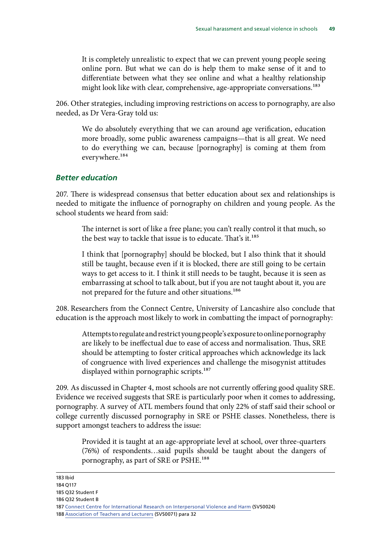<span id="page-50-0"></span>It is completely unrealistic to expect that we can prevent young people seeing online porn. But what we can do is help them to make sense of it and to differentiate between what they see online and what a healthy relationship might look like with clear, comprehensive, age-appropriate conversations.<sup>183</sup>

206. Other strategies, including improving restrictions on access to pornography, are also needed, as Dr Vera-Gray told us:

We do absolutely everything that we can around age verification, education more broadly, some public awareness campaigns—that is all great. We need to do everything we can, because [pornography] is coming at them from everywhere.184

#### *Better education*

207. There is widespread consensus that better education about sex and relationships is needed to mitigate the influence of pornography on children and young people. As the school students we heard from said:

The internet is sort of like a free plane; you can't really control it that much, so the best way to tackle that issue is to educate. That's it.<sup>185</sup>

I think that [pornography] should be blocked, but I also think that it should still be taught, because even if it is blocked, there are still going to be certain ways to get access to it. I think it still needs to be taught, because it is seen as embarrassing at school to talk about, but if you are not taught about it, you are not prepared for the future and other situations.<sup>186</sup>

208. Researchers from the Connect Centre, University of Lancashire also conclude that education is the approach most likely to work in combatting the impact of pornography:

Attempts to regulate and restrict young people's exposure to online pornography are likely to be ineffectual due to ease of access and normalisation. Thus, SRE should be attempting to foster critical approaches which acknowledge its lack of congruence with lived experiences and challenge the misogynist attitudes displayed within pornographic scripts.<sup>187</sup>

209. As discussed in Chapter 4, most schools are not currently offering good quality SRE. Evidence we received suggests that SRE is particularly poor when it comes to addressing, pornography. A survey of ATL members found that only 22% of staff said their school or college currently discussed pornography in SRE or PSHE classes. Nonetheless, there is support amongst teachers to address the issue:

Provided it is taught at an age-appropriate level at school, over three-quarters (76%) of respondents…said pupils should be taught about the dangers of pornography, as part of SRE or PSHE.188

183 Ibid

- 185 Q32 Student F
- 186 Q32 Student B

<sup>184</sup> Q117

<sup>187</sup> [Connect Centre for International Research on Interpersonal Violence and Harm](http://data.parliament.uk/writtenevidence/committeeevidence.svc/evidencedocument/women-and-equalities-committee/sexual-harassment-and-sexual-violence-in-schools/written/33352.html) (SVS0024)

<sup>188</sup> [Association of Teachers and Lecturers](http://data.parliament.uk/writtenevidence/committeeevidence.svc/evidencedocument/women-and-equalities-committee/sexual-harassment-and-sexual-violence-in-schools/written/33569.html) (SVS0071) para 32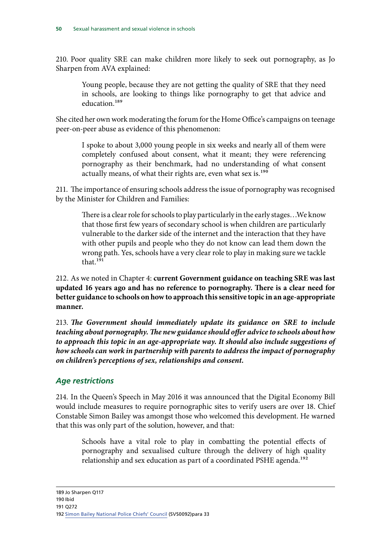<span id="page-51-0"></span>210. Poor quality SRE can make children more likely to seek out pornography, as Jo Sharpen from AVA explained:

Young people, because they are not getting the quality of SRE that they need in schools, are looking to things like pornography to get that advice and education.<sup>189</sup>

She cited her own work moderating the forum for the Home Office's campaigns on teenage peer-on-peer abuse as evidence of this phenomenon:

I spoke to about 3,000 young people in six weeks and nearly all of them were completely confused about consent, what it meant; they were referencing pornography as their benchmark, had no understanding of what consent actually means, of what their rights are, even what sex is.<sup>190</sup>

211. The importance of ensuring schools address the issue of pornography was recognised by the Minister for Children and Families:

There is a clear role for schools to play particularly in the early stages…We know that those first few years of secondary school is when children are particularly vulnerable to the darker side of the internet and the interaction that they have with other pupils and people who they do not know can lead them down the wrong path. Yes, schools have a very clear role to play in making sure we tackle that.<sup>191</sup>

212. As we noted in Chapter 4: **current Government guidance on teaching SRE was last updated 16 years ago and has no reference to pornography. There is a clear need for better guidance to schools on how to approach this sensitive topic in an age-appropriate manner.** 

213. *The Government should immediately update its guidance on SRE to include teaching about pornography. The new guidance should offer advice to schools about how to approach this topic in an age-appropriate way. It should also include suggestions of how schools can work in partnership with parents to address the impact of pornography on children's perceptions of sex, relationships and consent.* 

#### *Age restrictions*

214. In the Queen's Speech in May 2016 it was announced that the Digital Economy Bill would include measures to require pornographic sites to verify users are over 18. Chief Constable Simon Bailey was amongst those who welcomed this development. He warned that this was only part of the solution, however, and that:

Schools have a vital role to play in combatting the potential effects of pornography and sexualised culture through the delivery of high quality relationship and sex education as part of a coordinated PSHE agenda.<sup>192</sup>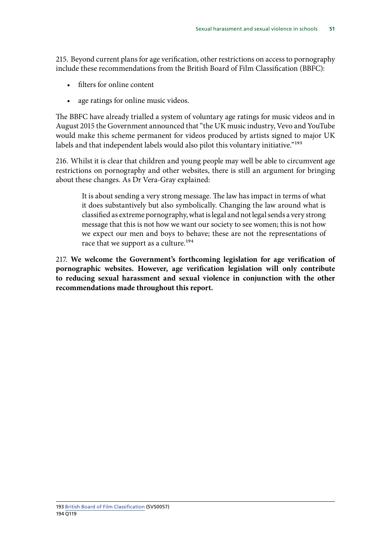215. Beyond current plans for age verification, other restrictions on access to pornography include these recommendations from the British Board of Film Classification (BBFC):

- filters for online content
- age ratings for online music videos.

The BBFC have already trialled a system of voluntary age ratings for music videos and in August 2015 the Government announced that "the UK music industry, Vevo and YouTube would make this scheme permanent for videos produced by artists signed to major UK labels and that independent labels would also pilot this voluntary initiative."<sup>193</sup>

216. Whilst it is clear that children and young people may well be able to circumvent age restrictions on pornography and other websites, there is still an argument for bringing about these changes. As Dr Vera-Gray explained:

It is about sending a very strong message. The law has impact in terms of what it does substantively but also symbolically. Changing the law around what is classified as extreme pornography, what is legal and not legal sends a very strong message that this is not how we want our society to see women; this is not how we expect our men and boys to behave; these are not the representations of race that we support as a culture.<sup>194</sup>

217. **We welcome the Government's forthcoming legislation for age verification of pornographic websites. However, age verification legislation will only contribute to reducing sexual harassment and sexual violence in conjunction with the other recommendations made throughout this report.**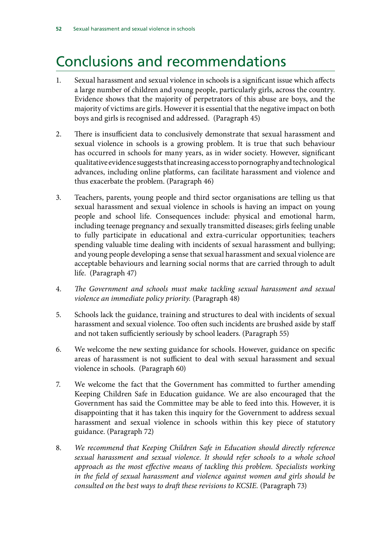### <span id="page-53-0"></span>Conclusions and recommendations

- 1. Sexual harassment and sexual violence in schools is a significant issue which affects a large number of children and young people, particularly girls, across the country. Evidence shows that the majority of perpetrators of this abuse are boys, and the majority of victims are girls. However it is essential that the negative impact on both boys and girls is recognised and addressed. (Paragraph 45)
- 2. There is insufficient data to conclusively demonstrate that sexual harassment and sexual violence in schools is a growing problem. It is true that such behaviour has occurred in schools for many years, as in wider society. However, significant qualitative evidence suggests that increasing access to pornography and technological advances, including online platforms, can facilitate harassment and violence and thus exacerbate the problem. (Paragraph 46)
- 3. Teachers, parents, young people and third sector organisations are telling us that sexual harassment and sexual violence in schools is having an impact on young people and school life. Consequences include: physical and emotional harm, including teenage pregnancy and sexually transmitted diseases; girls feeling unable to fully participate in educational and extra-curricular opportunities; teachers spending valuable time dealing with incidents of sexual harassment and bullying; and young people developing a sense that sexual harassment and sexual violence are acceptable behaviours and learning social norms that are carried through to adult life. (Paragraph 47)
- 4. *The Government and schools must make tackling sexual harassment and sexual violence an immediate policy priority.* (Paragraph 48)
- 5. Schools lack the guidance, training and structures to deal with incidents of sexual harassment and sexual violence. Too often such incidents are brushed aside by staff and not taken sufficiently seriously by school leaders. (Paragraph 55)
- 6. We welcome the new sexting guidance for schools. However, guidance on specific areas of harassment is not sufficient to deal with sexual harassment and sexual violence in schools. (Paragraph 60)
- 7. We welcome the fact that the Government has committed to further amending Keeping Children Safe in Education guidance. We are also encouraged that the Government has said the Committee may be able to feed into this. However, it is disappointing that it has taken this inquiry for the Government to address sexual harassment and sexual violence in schools within this key piece of statutory guidance. (Paragraph 72)
- 8. *We recommend that Keeping Children Safe in Education should directly reference sexual harassment and sexual violence. It should refer schools to a whole school approach as the most effective means of tackling this problem. Specialists working in the field of sexual harassment and violence against women and girls should be consulted on the best ways to draft these revisions to KCSIE.* (Paragraph 73)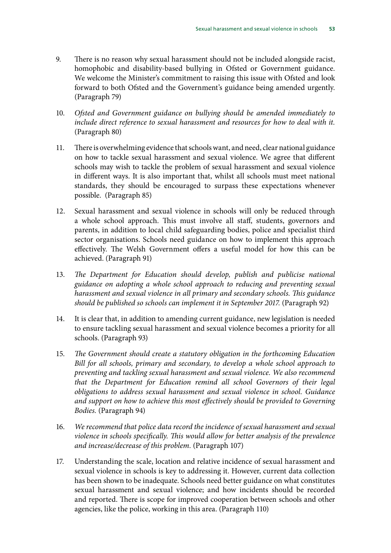- 9. There is no reason why sexual harassment should not be included alongside racist, homophobic and disability-based bullying in Ofsted or Government guidance. We welcome the Minister's commitment to raising this issue with Ofsted and look forward to both Ofsted and the Government's guidance being amended urgently. (Paragraph 79)
- 10. *Ofsted and Government guidance on bullying should be amended immediately to*  include direct reference to sexual harassment and resources for how to deal with it. (Paragraph 80)
- 11. There is overwhelming evidence that schools want, and need, clear national guidance on how to tackle sexual harassment and sexual violence. We agree that different schools may wish to tackle the problem of sexual harassment and sexual violence in different ways. It is also important that, whilst all schools must meet national standards, they should be encouraged to surpass these expectations whenever possible. (Paragraph 85)
- 12. Sexual harassment and sexual violence in schools will only be reduced through a whole school approach. This must involve all staff, students, governors and parents, in addition to local child safeguarding bodies, police and specialist third sector organisations. Schools need guidance on how to implement this approach effectively. The Welsh Government offers a useful model for how this can be achieved. (Paragraph 91)
- 13. The Department for Education should develop, publish and publicise national *guidance on adopting a whole school approach to reducing and preventing sexual harassment and sexual violence in all primary and secondary schools. This guidance should be published so schools can implement it in September 2017.* (Paragraph 92)
- 14. It is clear that, in addition to amending current guidance, new legislation is needed to ensure tackling sexual harassment and sexual violence becomes a priority for all schools. (Paragraph 93)
- 15. *The Government should create a statutory obligation in the forthcoming Education Bill for all schools, primary and secondary, to develop a whole school approach to preventing and tackling sexual harassment and sexual violence. We also recommend that the Department for Education remind all school Governors of their legal obligations to address sexual harassment and sexual violence in school. Guidance and support on how to achieve this most effectively should be provided to Governing Bodies.* (Paragraph 94)
- 16. *We recommend that police data record the incidence of sexual harassment and sexual violence in schools specifically. This would allow for better analysis of the prevalence and increase/decrease of this problem.* (Paragraph 107)
- 17. Understanding the scale, location and relative incidence of sexual harassment and sexual violence in schools is key to addressing it. However, current data collection has been shown to be inadequate. Schools need better guidance on what constitutes sexual harassment and sexual violence; and how incidents should be recorded and reported. There is scope for improved cooperation between schools and other agencies, like the police, working in this area. (Paragraph 110)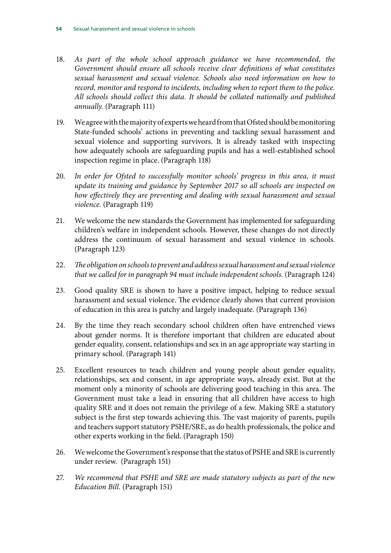- 18. As part of the whole school approach guidance we have recommended, the *Government should ensure all schools receive clear definitions of what constitutes sexual harassment and sexual violence. Schools also need information on how to record, monitor and respond to incidents, including when to report them to the police. All schools should collect this data. It should be collated nationally and published annually.* (Paragraph 111)
- 19. We agree with the majority of experts we heard from that Ofsted should be monitoring State-funded schools' actions in preventing and tackling sexual harassment and sexual violence and supporting survivors. It is already tasked with inspecting how adequately schools are safeguarding pupils and has a well-established school inspection regime in place. (Paragraph 118)
- 20. *In order for Ofsted to successfully monitor schools' progress in this area, it must update its training and guidance by September 2017 so all schools are inspected on how effectively they are preventing and dealing with sexual harassment and sexual violence.* (Paragraph 119)
- 21. We welcome the new standards the Government has implemented for safeguarding children's welfare in independent schools. However, these changes do not directly address the continuum of sexual harassment and sexual violence in schools. (Paragraph 123)
- 22. *The obligation on schools to prevent and address sexual harassment and sexual violence*  that we called for in paragraph 94 must include independent schools. (Paragraph 124)
- 23. Good quality SRE is shown to have a positive impact, helping to reduce sexual harassment and sexual violence. The evidence clearly shows that current provision of education in this area is patchy and largely inadequate. (Paragraph 136)
- 24. By the time they reach secondary school children often have entrenched views about gender norms. It is therefore important that children are educated about gender equality, consent, relationships and sex in an age appropriate way starting in primary school. (Paragraph 141)
- 25. Excellent resources to teach children and young people about gender equality, relationships, sex and consent, in age appropriate ways, already exist. But at the moment only a minority of schools are delivering good teaching in this area. The Government must take a lead in ensuring that all children have access to high quality SRE and it does not remain the privilege of a few. Making SRE a statutory subject is the first step towards achieving this. The vast majority of parents, pupils and teachers support statutory PSHE/SRE, as do health professionals, the police and other experts working in the field. (Paragraph 150)
- 26. We welcome the Government's response that the status of PSHE and SRE is currently under review. (Paragraph 151)
- 27. *We recommend that PSHE and SRE are made statutory subjects as part of the new Education Bill.* (Paragraph 151)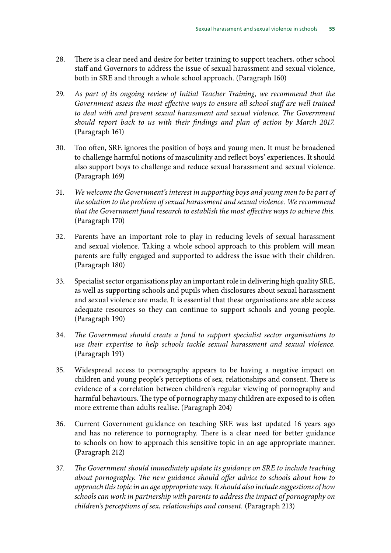- 28. There is a clear need and desire for better training to support teachers, other school staff and Governors to address the issue of sexual harassment and sexual violence, both in SRE and through a whole school approach. (Paragraph 160)
- 29. *As part of its ongoing review of Initial Teacher Training, we recommend that the Government assess the most effective ways to ensure all school staff are well trained to deal with and prevent sexual harassment and sexual violence. The Government should report back to us with their findings and plan of action by March 2017.*  (Paragraph 161)
- 30. Too often, SRE ignores the position of boys and young men. It must be broadened to challenge harmful notions of masculinity and reflect boys' experiences. It should also support boys to challenge and reduce sexual harassment and sexual violence. (Paragraph 169)
- 31. *We welcome the Government's interest in supporting boys and young men to be part of the solution to the problem of sexual harassment and sexual violence. We recommend that the Government fund research to establish the most effective ways to achieve this.*  (Paragraph 170)
- 32. Parents have an important role to play in reducing levels of sexual harassment and sexual violence. Taking a whole school approach to this problem will mean parents are fully engaged and supported to address the issue with their children. (Paragraph 180)
- 33. Specialist sector organisations play an important role in delivering high quality SRE, as well as supporting schools and pupils when disclosures about sexual harassment and sexual violence are made. It is essential that these organisations are able access adequate resources so they can continue to support schools and young people. (Paragraph 190)
- 34. *The Government should create a fund to support specialist sector organisations to use their expertise to help schools tackle sexual harassment and sexual violence.*  (Paragraph 191)
- 35. Widespread access to pornography appears to be having a negative impact on children and young people's perceptions of sex, relationships and consent. There is evidence of a correlation between children's regular viewing of pornography and harmful behaviours. The type of pornography many children are exposed to is often more extreme than adults realise. (Paragraph 204)
- 36. Current Government guidance on teaching SRE was last updated 16 years ago and has no reference to pornography. There is a clear need for better guidance to schools on how to approach this sensitive topic in an age appropriate manner. (Paragraph 212)
- 37. *The Government should immediately update its guidance on SRE to include teaching about pornography. The new guidance should offer advice to schools about how to approach this topic in an age appropriate way. It should also include suggestions of how schools can work in partnership with parents to address the impact of pornography on children's perceptions of sex, relationships and consent.* (Paragraph 213)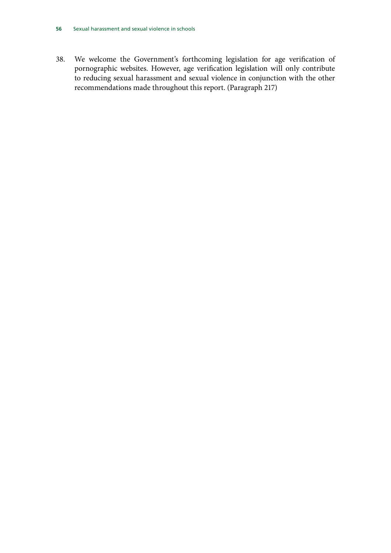38. We welcome the Government's forthcoming legislation for age verification of pornographic websites. However, age verification legislation will only contribute to reducing sexual harassment and sexual violence in conjunction with the other recommendations made throughout this report. (Paragraph 217)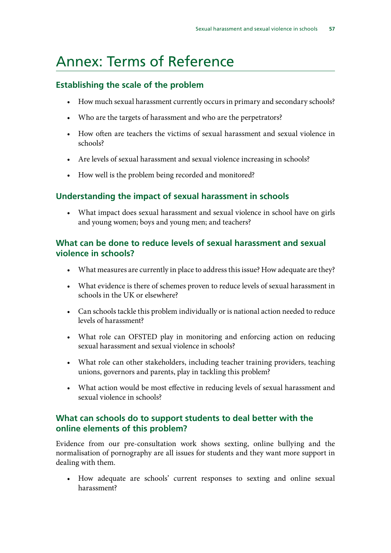### <span id="page-58-0"></span>Annex: Terms of Reference

#### **Establishing the scale of the problem**

- How much sexual harassment currently occurs in primary and secondary schools?
- Who are the targets of harassment and who are the perpetrators?
- • How often are teachers the victims of sexual harassment and sexual violence in schools?
- Are levels of sexual harassment and sexual violence increasing in schools?
- How well is the problem being recorded and monitored?

#### **Understanding the impact of sexual harassment in schools**

What impact does sexual harassment and sexual violence in school have on girls and young women; boys and young men; and teachers?

#### **What can be done to reduce levels of sexual harassment and sexual violence in schools?**

- What measures are currently in place to address this issue? How adequate are they?
- What evidence is there of schemes proven to reduce levels of sexual harassment in schools in the UK or elsewhere?
- Can schools tackle this problem individually or is national action needed to reduce levels of harassment?
- What role can OFSTED play in monitoring and enforcing action on reducing sexual harassment and sexual violence in schools?
- What role can other stakeholders, including teacher training providers, teaching unions, governors and parents, play in tackling this problem?
- What action would be most effective in reducing levels of sexual harassment and sexual violence in schools?

#### **What can schools do to support students to deal better with the online elements of this problem?**

Evidence from our pre-consultation work shows sexting, online bullying and the normalisation of pornography are all issues for students and they want more support in dealing with them.

• How adequate are schools' current responses to sexting and online sexual harassment?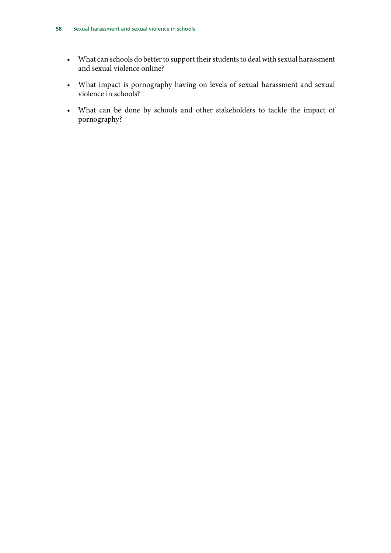- • What can schools do better to support their students to deal with sexual harassment and sexual violence online?
- • What impact is pornography having on levels of sexual harassment and sexual violence in schools?
- • What can be done by schools and other stakeholders to tackle the impact of pornography?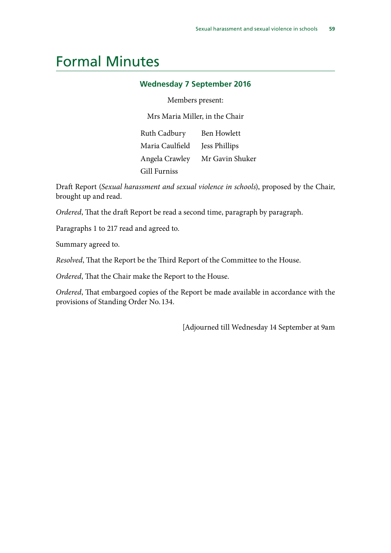### <span id="page-60-0"></span>Formal Minutes

#### **Wednesday 7 September 2016**

Members present:

Mrs Maria Miller, in the Chair

Ruth Cadbury Ben Howlett Maria Caulfield Jess Phillips Angela Crawley Mr Gavin Shuker Gill Furniss

Draft Report (*Sexual harassment and sexual violence in schools*), proposed by the Chair, brought up and read.

*Ordered*, That the draft Report be read a second time, paragraph by paragraph.

Paragraphs 1 to 217 read and agreed to.

Summary agreed to.

*Resolved*, That the Report be the Third Report of the Committee to the House.

*Ordered*, That the Chair make the Report to the House.

*Ordered*, That embargoed copies of the Report be made available in accordance with the provisions of Standing Order No. 134.

[Adjourned till Wednesday 14 September at 9am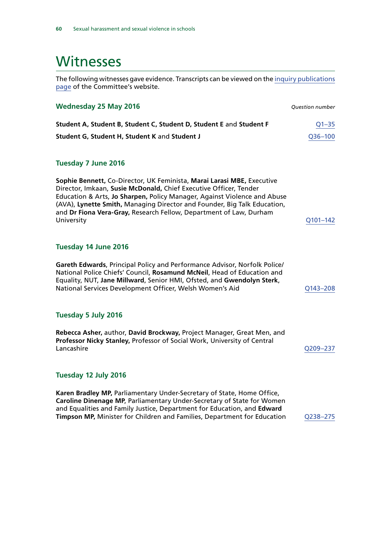### <span id="page-61-0"></span>**Witnesses**

The following witnesses gave evidence. Transcripts can be viewed on the [inquiry publications](http://www.parliament.uk/business/committees/committees-a-z/commons-select/women-and-equalities-committee/inquiries/parliament-2015/inquiry1/publications/) [page](http://www.parliament.uk/business/committees/committees-a-z/commons-select/women-and-equalities-committee/inquiries/parliament-2015/inquiry1/publications/) of the Committee's website.

| <b>Wednesday 25 May 2016</b>                                                                                                                                                                                                                                                                                                                                                            | <b>Question number</b> |
|-----------------------------------------------------------------------------------------------------------------------------------------------------------------------------------------------------------------------------------------------------------------------------------------------------------------------------------------------------------------------------------------|------------------------|
| Student A, Student B, Student C, Student D, Student E and Student F                                                                                                                                                                                                                                                                                                                     | $Q1 - 35$              |
| Student G, Student H, Student K and Student J                                                                                                                                                                                                                                                                                                                                           | Q36-100                |
|                                                                                                                                                                                                                                                                                                                                                                                         |                        |
| <b>Tuesday 7 June 2016</b>                                                                                                                                                                                                                                                                                                                                                              |                        |
| Sophie Bennett, Co-Director, UK Feminista, Marai Larasi MBE, Executive<br>Director, Imkaan, Susie McDonald, Chief Executive Officer, Tender<br>Education & Arts, Jo Sharpen, Policy Manager, Against Violence and Abuse<br>(AVA), Lynette Smith, Managing Director and Founder, Big Talk Education,<br>and Dr Fiona Vera-Gray, Research Fellow, Department of Law, Durham<br>University | Q101-142               |
| Tuesday 14 June 2016                                                                                                                                                                                                                                                                                                                                                                    |                        |
| Gareth Edwards, Principal Policy and Performance Advisor, Norfolk Police/<br>National Police Chiefs' Council, Rosamund McNeil, Head of Education and<br>Equality, NUT, Jane Millward, Senior HMI, Ofsted, and Gwendolyn Sterk,<br>National Services Development Officer, Welsh Women's Aid                                                                                              | Q143-208               |
| Tuesday 5 July 2016                                                                                                                                                                                                                                                                                                                                                                     |                        |
| Rebecca Asher, author, David Brockway, Project Manager, Great Men, and<br>Professor Nicky Stanley, Professor of Social Work, University of Central<br>Lancashire                                                                                                                                                                                                                        | Q209-237               |
| Tuesday 12 July 2016                                                                                                                                                                                                                                                                                                                                                                    |                        |
| Karen Bradley MP, Parliamentary Under-Secretary of State, Home Office,<br>Caroline Dinenage MP, Parliamentary Under-Secretary of State for Women<br>and Equalities and Family Justice, Department for Education, and Edward<br>Timpson MP, Minister for Children and Families, Department for Education                                                                                 | Q238-275               |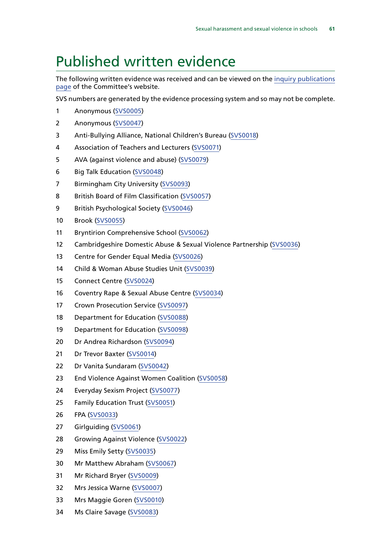### <span id="page-62-0"></span>Published written evidence

The following written evidence was received and can be viewed on the [inquiry publications](http://www.parliament.uk/business/committees/committees-a-z/commons-select/women-and-equalities-committee/inquiries/parliament-2015/inquiry1/publications/) [page](http://www.parliament.uk/business/committees/committees-a-z/commons-select/women-and-equalities-committee/inquiries/parliament-2015/inquiry1/publications/) of the Committee's website.

SVS numbers are generated by the evidence processing system and so may not be complete.

- 1 Anonymous [\(SVS0005](http://data.parliament.uk/WrittenEvidence/CommitteeEvidence.svc/EvidenceDocument/Women%20and%20Equalities/Sexual%20harassment%20and%20sexual%20violence%20in%20schools/written/32005.html))
- 2 Anonymous [\(SVS0047](http://data.parliament.uk/WrittenEvidence/CommitteeEvidence.svc/EvidenceDocument/Women%20and%20Equalities/Sexual%20harassment%20and%20sexual%20violence%20in%20schools/written/33499.html))
- 3 Anti-Bullying Alliance, National Children's Bureau [\(SVS0018](http://data.parliament.uk/WrittenEvidence/CommitteeEvidence.svc/EvidenceDocument/Women%20and%20Equalities/Sexual%20harassment%20and%20sexual%20violence%20in%20schools/written/33302.html))
- 4 Association of Teachers and Lecturers [\(SVS0071\)](http://data.parliament.uk/WrittenEvidence/CommitteeEvidence.svc/EvidenceDocument/Women%20and%20Equalities/Sexual%20harassment%20and%20sexual%20violence%20in%20schools/written/33569.html)
- 5 AVA (against violence and abuse) [\(SVS0079](http://data.parliament.uk/WrittenEvidence/CommitteeEvidence.svc/EvidenceDocument/Women%20and%20Equalities/Sexual%20harassment%20and%20sexual%20violence%20in%20schools/written/33582.html))
- 6 Big Talk Education [\(SVS0048\)](http://data.parliament.uk/WrittenEvidence/CommitteeEvidence.svc/EvidenceDocument/Women%20and%20Equalities/Sexual%20harassment%20and%20sexual%20violence%20in%20schools/written/33503.html)
- 7 Birmingham City University [\(SVS0093](http://data.parliament.uk/WrittenEvidence/CommitteeEvidence.svc/EvidenceDocument/Women%20and%20Equalities/Sexual%20harassment%20and%20sexual%20violence%20in%20schools/written/34361.html))
- 8 British Board of Film Classification [\(SVS0057\)](http://data.parliament.uk/WrittenEvidence/CommitteeEvidence.svc/EvidenceDocument/Women%20and%20Equalities/Sexual%20harassment%20and%20sexual%20violence%20in%20schools/written/33525.html)
- 9 British Psychological Society [\(SVS0046](http://data.parliament.uk/WrittenEvidence/CommitteeEvidence.svc/EvidenceDocument/Women%20and%20Equalities/Sexual%20harassment%20and%20sexual%20violence%20in%20schools/written/33491.html))
- 10 Brook [\(SVS0055\)](http://data.parliament.uk/WrittenEvidence/CommitteeEvidence.svc/EvidenceDocument/Women%20and%20Equalities/Sexual%20harassment%20and%20sexual%20violence%20in%20schools/written/33523.html)
- 11 Bryntirion Comprehensive School [\(SVS0062\)](http://data.parliament.uk/WrittenEvidence/CommitteeEvidence.svc/EvidenceDocument/Women%20and%20Equalities/Sexual%20harassment%20and%20sexual%20violence%20in%20schools/written/33545.html)
- 12 Cambridgeshire Domestic Abuse & Sexual Violence Partnership [\(SVS0036\)](http://data.parliament.uk/WrittenEvidence/CommitteeEvidence.svc/EvidenceDocument/Women%20and%20Equalities/Sexual%20harassment%20and%20sexual%20violence%20in%20schools/written/33467.html)
- 13 Centre for Gender Equal Media [\(SVS0026\)](http://data.parliament.uk/WrittenEvidence/CommitteeEvidence.svc/EvidenceDocument/Women%20and%20Equalities/Sexual%20harassment%20and%20sexual%20violence%20in%20schools/written/33387.html)
- 14 Child & Woman Abuse Studies Unit ([SVS0039](http://data.parliament.uk/WrittenEvidence/CommitteeEvidence.svc/EvidenceDocument/Women%20and%20Equalities/Sexual%20harassment%20and%20sexual%20violence%20in%20schools/written/33476.html))
- 15 Connect Centre [\(SVS0024\)](http://data.parliament.uk/WrittenEvidence/CommitteeEvidence.svc/EvidenceDocument/Women%20and%20Equalities/Sexual%20harassment%20and%20sexual%20violence%20in%20schools/written/33352.html)
- 16 Coventry Rape & Sexual Abuse Centre ([SVS0034](http://data.parliament.uk/WrittenEvidence/CommitteeEvidence.svc/EvidenceDocument/Women%20and%20Equalities/Sexual%20harassment%20and%20sexual%20violence%20in%20schools/written/33455.html))
- 17 Crown Prosecution Service [\(SVS0097\)](http://data.parliament.uk/WrittenEvidence/CommitteeEvidence.svc/EvidenceDocument/Women%20and%20Equalities/Sexual%20harassment%20and%20sexual%20violence%20in%20schools/written/34901.html)
- 18 Department for Education [\(SVS0088](http://data.parliament.uk/WrittenEvidence/CommitteeEvidence.svc/EvidenceDocument/Women%20and%20Equalities/Sexual%20harassment%20and%20sexual%20violence%20in%20schools/written/34062.html))
- 19 Department for Education [\(SVS0098](http://data.parliament.uk/WrittenEvidence/CommitteeEvidence.svc/EvidenceDocument/Women%20and%20Equalities/Sexual%20harassment%20and%20sexual%20violence%20in%20schools/written/34902.html))
- 20 Dr Andrea Richardson [\(SVS0094](http://data.parliament.uk/WrittenEvidence/CommitteeEvidence.svc/EvidenceDocument/Women%20and%20Equalities/Sexual%20harassment%20and%20sexual%20violence%20in%20schools/written/34380.html))
- 21 Dr Trevor Baxter [\(SVS0014\)](http://data.parliament.uk/WrittenEvidence/CommitteeEvidence.svc/EvidenceDocument/Women%20and%20Equalities/Sexual%20harassment%20and%20sexual%20violence%20in%20schools/written/32909.html)
- 22 Dr Vanita Sundaram ([SVS0042\)](http://data.parliament.uk/WrittenEvidence/CommitteeEvidence.svc/EvidenceDocument/Women%20and%20Equalities/Sexual%20harassment%20and%20sexual%20violence%20in%20schools/written/33479.html)
- 23 End Violence Against Women Coalition [\(SVS0058](http://data.parliament.uk/WrittenEvidence/CommitteeEvidence.svc/EvidenceDocument/Women%20and%20Equalities/Sexual%20harassment%20and%20sexual%20violence%20in%20schools/written/33527.html))
- 24 Everyday Sexism Project [\(SVS0077\)](http://data.parliament.uk/WrittenEvidence/CommitteeEvidence.svc/EvidenceDocument/Women%20and%20Equalities/Sexual%20harassment%20and%20sexual%20violence%20in%20schools/written/33579.html)
- 25 Family Education Trust ([SVS0051](http://data.parliament.uk/WrittenEvidence/CommitteeEvidence.svc/EvidenceDocument/Women%20and%20Equalities/Sexual%20harassment%20and%20sexual%20violence%20in%20schools/written/33511.html))
- 26 FPA ([SVS0033](http://data.parliament.uk/WrittenEvidence/CommitteeEvidence.svc/EvidenceDocument/Women%20and%20Equalities/Sexual%20harassment%20and%20sexual%20violence%20in%20schools/written/33452.html))
- 27 Girlguiding [\(SVS0061](http://data.parliament.uk/WrittenEvidence/CommitteeEvidence.svc/EvidenceDocument/Women%20and%20Equalities/Sexual%20harassment%20and%20sexual%20violence%20in%20schools/written/33537.html))
- 28 Growing Against Violence ([SVS0022](http://data.parliament.uk/WrittenEvidence/CommitteeEvidence.svc/EvidenceDocument/Women%20and%20Equalities/Sexual%20harassment%20and%20sexual%20violence%20in%20schools/written/33348.html))
- 29 Miss Emily Setty [\(SVS0035\)](http://data.parliament.uk/WrittenEvidence/CommitteeEvidence.svc/EvidenceDocument/Women%20and%20Equalities/Sexual%20harassment%20and%20sexual%20violence%20in%20schools/written/33457.html)
- 30 Mr Matthew Abraham [\(SVS0067](http://data.parliament.uk/WrittenEvidence/CommitteeEvidence.svc/EvidenceDocument/Women%20and%20Equalities/Sexual%20harassment%20and%20sexual%20violence%20in%20schools/written/33555.html))
- 31 Mr Richard Bryer [\(SVS0009](http://data.parliament.uk/WrittenEvidence/CommitteeEvidence.svc/EvidenceDocument/Women%20and%20Equalities/Sexual%20harassment%20and%20sexual%20violence%20in%20schools/written/32284.html))
- 32 Mrs Jessica Warne [\(SVS0007\)](http://data.parliament.uk/WrittenEvidence/CommitteeEvidence.svc/EvidenceDocument/Women%20and%20Equalities/Sexual%20harassment%20and%20sexual%20violence%20in%20schools/written/32008.html)
- 33 Mrs Maggie Goren [\(SVS0010](http://data.parliament.uk/WrittenEvidence/CommitteeEvidence.svc/EvidenceDocument/Women%20and%20Equalities/Sexual%20harassment%20and%20sexual%20violence%20in%20schools/written/32374.html))
- 34 Ms Claire Savage [\(SVS0083\)](http://data.parliament.uk/WrittenEvidence/CommitteeEvidence.svc/EvidenceDocument/Women%20and%20Equalities/Sexual%20harassment%20and%20sexual%20violence%20in%20schools/written/33954.html)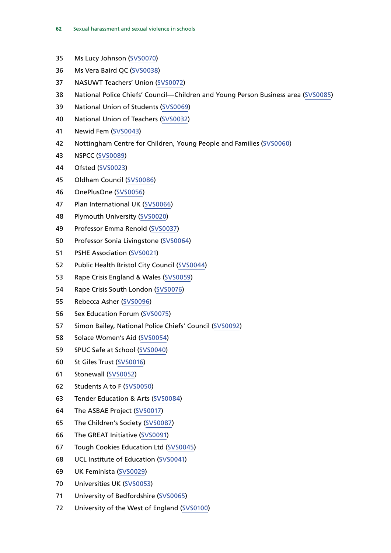- 35 Ms Lucy Johnson [\(SVS0070\)](http://data.parliament.uk/WrittenEvidence/CommitteeEvidence.svc/EvidenceDocument/Women%20and%20Equalities/Sexual%20harassment%20and%20sexual%20violence%20in%20schools/written/33563.html)
- 36 Ms Vera Baird QC [\(SVS0038\)](http://data.parliament.uk/WrittenEvidence/CommitteeEvidence.svc/EvidenceDocument/Women%20and%20Equalities/Sexual%20harassment%20and%20sexual%20violence%20in%20schools/written/33473.html)
- 37 NASUWT Teachers' Union ([SVS0072](http://data.parliament.uk/WrittenEvidence/CommitteeEvidence.svc/EvidenceDocument/Women%20and%20Equalities/Sexual%20harassment%20and%20sexual%20violence%20in%20schools/written/33571.html))
- 38 National Police Chiefs' Council—Children and Young Person Business area [\(SVS0085](http://data.parliament.uk/WrittenEvidence/CommitteeEvidence.svc/EvidenceDocument/Women%20and%20Equalities/Sexual%20harassment%20and%20sexual%20violence%20in%20schools/written/34058.html))
- 39 National Union of Students [\(SVS0069\)](http://data.parliament.uk/WrittenEvidence/CommitteeEvidence.svc/EvidenceDocument/Women%20and%20Equalities/Sexual%20harassment%20and%20sexual%20violence%20in%20schools/written/33561.html)
- 40 National Union of Teachers [\(SVS0032\)](http://data.parliament.uk/WrittenEvidence/CommitteeEvidence.svc/EvidenceDocument/Women%20and%20Equalities/Sexual%20harassment%20and%20sexual%20violence%20in%20schools/written/33418.html)
- 41 Newid Fem [\(SVS0043\)](http://data.parliament.uk/WrittenEvidence/CommitteeEvidence.svc/EvidenceDocument/Women%20and%20Equalities/Sexual%20harassment%20and%20sexual%20violence%20in%20schools/written/33482.html)
- 42 Nottingham Centre for Children, Young People and Families ([SVS0060\)](http://data.parliament.uk/WrittenEvidence/CommitteeEvidence.svc/EvidenceDocument/Women%20and%20Equalities/Sexual%20harassment%20and%20sexual%20violence%20in%20schools/written/33536.html)
- 43 NSPCC ([SVS0089\)](http://data.parliament.uk/WrittenEvidence/CommitteeEvidence.svc/EvidenceDocument/Women%20and%20Equalities/Sexual%20harassment%20and%20sexual%20violence%20in%20schools/written/34063.html)
- 44 Ofsted [\(SVS0023\)](http://data.parliament.uk/WrittenEvidence/CommitteeEvidence.svc/EvidenceDocument/Women%20and%20Equalities/Sexual%20harassment%20and%20sexual%20violence%20in%20schools/written/33349.html)
- 45 Oldham Council [\(SVS0086](http://data.parliament.uk/WrittenEvidence/CommitteeEvidence.svc/EvidenceDocument/Women%20and%20Equalities/Sexual%20harassment%20and%20sexual%20violence%20in%20schools/written/34060.html))
- 46 OnePlusOne [\(SVS0056](http://data.parliament.uk/WrittenEvidence/CommitteeEvidence.svc/EvidenceDocument/Women%20and%20Equalities/Sexual%20harassment%20and%20sexual%20violence%20in%20schools/written/33524.html))
- 47 Plan International UK [\(SVS0066](http://data.parliament.uk/WrittenEvidence/CommitteeEvidence.svc/EvidenceDocument/Women%20and%20Equalities/Sexual%20harassment%20and%20sexual%20violence%20in%20schools/written/33553.html))
- 48 Plymouth University ([SVS0020](http://data.parliament.uk/WrittenEvidence/CommitteeEvidence.svc/EvidenceDocument/Women%20and%20Equalities/Sexual%20harassment%20and%20sexual%20violence%20in%20schools/written/33328.html))
- 49 Professor Emma Renold [\(SVS0037\)](http://data.parliament.uk/WrittenEvidence/CommitteeEvidence.svc/EvidenceDocument/Women%20and%20Equalities/Sexual%20harassment%20and%20sexual%20violence%20in%20schools/written/33470.html)
- 50 Professor Sonia Livingstone ([SVS0064\)](http://data.parliament.uk/WrittenEvidence/CommitteeEvidence.svc/EvidenceDocument/Women%20and%20Equalities/Sexual%20harassment%20and%20sexual%20violence%20in%20schools/written/33550.html)
- 51 PSHE Association [\(SVS0021](http://data.parliament.uk/WrittenEvidence/CommitteeEvidence.svc/EvidenceDocument/Women%20and%20Equalities/Sexual%20harassment%20and%20sexual%20violence%20in%20schools/written/33331.html))
- 52 Public Health Bristol City Council ([SVS0044\)](http://data.parliament.uk/WrittenEvidence/CommitteeEvidence.svc/EvidenceDocument/Women%20and%20Equalities/Sexual%20harassment%20and%20sexual%20violence%20in%20schools/written/33485.html)
- 53 Rape Crisis England & Wales ([SVS0059](http://data.parliament.uk/WrittenEvidence/CommitteeEvidence.svc/EvidenceDocument/Women%20and%20Equalities/Sexual%20harassment%20and%20sexual%20violence%20in%20schools/written/33534.html))
- 54 Rape Crisis South London [\(SVS0076](http://data.parliament.uk/WrittenEvidence/CommitteeEvidence.svc/EvidenceDocument/Women%20and%20Equalities/Sexual%20harassment%20and%20sexual%20violence%20in%20schools/written/33578.html))
- 55 Rebecca Asher ([SVS0096\)](http://data.parliament.uk/WrittenEvidence/CommitteeEvidence.svc/EvidenceDocument/Women%20and%20Equalities/Sexual%20harassment%20and%20sexual%20violence%20in%20schools/written/34535.html)
- 56 Sex Education Forum ([SVS0075](http://data.parliament.uk/WrittenEvidence/CommitteeEvidence.svc/EvidenceDocument/Women%20and%20Equalities/Sexual%20harassment%20and%20sexual%20violence%20in%20schools/written/33577.html))
- 57 Simon Bailey, National Police Chiefs' Council [\(SVS0092\)](http://data.parliament.uk/WrittenEvidence/CommitteeEvidence.svc/EvidenceDocument/Women%20and%20Equalities/Sexual%20harassment%20and%20sexual%20violence%20in%20schools/written/34261.html)
- 58 Solace Women's Aid [\(SVS0054\)](http://data.parliament.uk/WrittenEvidence/CommitteeEvidence.svc/EvidenceDocument/Women%20and%20Equalities/Sexual%20harassment%20and%20sexual%20violence%20in%20schools/written/33521.html)
- 59 SPUC Safe at School [\(SVS0040](http://data.parliament.uk/WrittenEvidence/CommitteeEvidence.svc/EvidenceDocument/Women%20and%20Equalities/Sexual%20harassment%20and%20sexual%20violence%20in%20schools/written/33477.html))
- 60 St Giles Trust [\(SVS0016](http://data.parliament.uk/WrittenEvidence/CommitteeEvidence.svc/EvidenceDocument/Women%20and%20Equalities/Sexual%20harassment%20and%20sexual%20violence%20in%20schools/written/33181.html))
- 61 Stonewall [\(SVS0052\)](http://data.parliament.uk/WrittenEvidence/CommitteeEvidence.svc/EvidenceDocument/Women%20and%20Equalities/Sexual%20harassment%20and%20sexual%20violence%20in%20schools/written/33516.html)
- 62 Students A to F ([SVS0050\)](http://data.parliament.uk/WrittenEvidence/CommitteeEvidence.svc/EvidenceDocument/Women%20and%20Equalities/Sexual%20harassment%20and%20sexual%20violence%20in%20schools/written/33509.html)
- 63 Tender Education & Arts [\(SVS0084](http://data.parliament.uk/WrittenEvidence/CommitteeEvidence.svc/EvidenceDocument/Women%20and%20Equalities/Sexual%20harassment%20and%20sexual%20violence%20in%20schools/written/34057.html))
- 64 The ASBAE Project [\(SVS0017](http://data.parliament.uk/WrittenEvidence/CommitteeEvidence.svc/EvidenceDocument/Women%20and%20Equalities/Sexual%20harassment%20and%20sexual%20violence%20in%20schools/written/33189.html))
- 65 The Children's Society ([SVS0087\)](http://data.parliament.uk/WrittenEvidence/CommitteeEvidence.svc/EvidenceDocument/Women%20and%20Equalities/Sexual%20harassment%20and%20sexual%20violence%20in%20schools/written/34061.html)
- 66 The GREAT Initiative ([SVS0091\)](http://data.parliament.uk/WrittenEvidence/CommitteeEvidence.svc/EvidenceDocument/Women%20and%20Equalities/Sexual%20harassment%20and%20sexual%20violence%20in%20schools/written/34257.html)
- 67 Tough Cookies Education Ltd [\(SVS0045](http://data.parliament.uk/WrittenEvidence/CommitteeEvidence.svc/EvidenceDocument/Women%20and%20Equalities/Sexual%20harassment%20and%20sexual%20violence%20in%20schools/written/33490.html))
- 68 UCL Institute of Education [\(SVS0041](http://data.parliament.uk/WrittenEvidence/CommitteeEvidence.svc/EvidenceDocument/Women%20and%20Equalities/Sexual%20harassment%20and%20sexual%20violence%20in%20schools/written/33478.html))
- 69 UK Feminista [\(SVS0029](http://data.parliament.uk/WrittenEvidence/CommitteeEvidence.svc/EvidenceDocument/Women%20and%20Equalities/Sexual%20harassment%20and%20sexual%20violence%20in%20schools/written/33401.html))
- 70 Universities UK [\(SVS0053](http://data.parliament.uk/WrittenEvidence/CommitteeEvidence.svc/EvidenceDocument/Women%20and%20Equalities/Sexual%20harassment%20and%20sexual%20violence%20in%20schools/written/33517.html))
- 71 University of Bedfordshire [\(SVS0065\)](http://data.parliament.uk/WrittenEvidence/CommitteeEvidence.svc/EvidenceDocument/Women%20and%20Equalities/Sexual%20harassment%20and%20sexual%20violence%20in%20schools/written/33552.html)
- 72 University of the West of England [\(SVS0100\)](http://data.parliament.uk/writtenevidence/committeeevidence.svc/evidencedocument/women-and-equalities-committee/sexual-harassment-and-sexual-violence-in-schools/written/37444.html)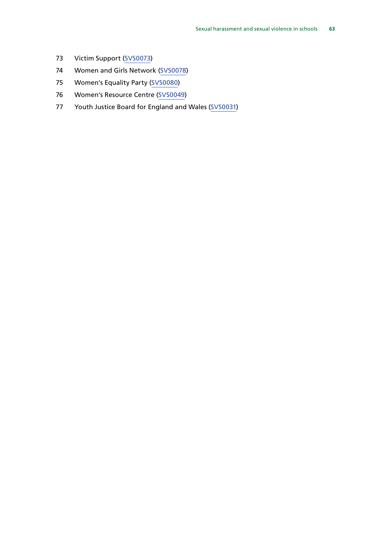- 73 Victim Support [\(SVS0073](http://data.parliament.uk/WrittenEvidence/CommitteeEvidence.svc/EvidenceDocument/Women%20and%20Equalities/Sexual%20harassment%20and%20sexual%20violence%20in%20schools/written/33572.html))
- 74 Women and Girls Network [\(SVS0078](http://data.parliament.uk/WrittenEvidence/CommitteeEvidence.svc/EvidenceDocument/Women%20and%20Equalities/Sexual%20harassment%20and%20sexual%20violence%20in%20schools/written/33581.html))
- 75 Women's Equality Party ([SVS0080\)](http://data.parliament.uk/WrittenEvidence/CommitteeEvidence.svc/EvidenceDocument/Women%20and%20Equalities/Sexual%20harassment%20and%20sexual%20violence%20in%20schools/written/33583.html)
- 76 Women's Resource Centre [\(SVS0049](http://data.parliament.uk/WrittenEvidence/CommitteeEvidence.svc/EvidenceDocument/Women%20and%20Equalities/Sexual%20harassment%20and%20sexual%20violence%20in%20schools/written/33508.html))
- 77 Youth Justice Board for England and Wales ([SVS0031\)](http://data.parliament.uk/WrittenEvidence/CommitteeEvidence.svc/EvidenceDocument/Women%20and%20Equalities/Sexual%20harassment%20and%20sexual%20violence%20in%20schools/written/33414.html)